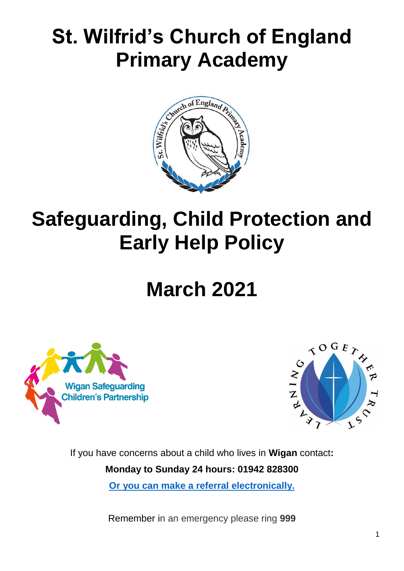# **St. Wilfrid's Church of England Primary Academy**



# **Safeguarding, Child Protection and Early Help Policy**

# **March 2021**





If you have concerns about a child who lives in **Wigan** contact**: Monday to Sunday 24 hours: 01942 828300 [Or you can make a referral electronically.](https://www.wigan.gov.uk/Resident/Health-Social-Care/Children-and-young-people/Child-protection/WorriedAboutAChild.aspx)**

Remember in an emergency please ring **999**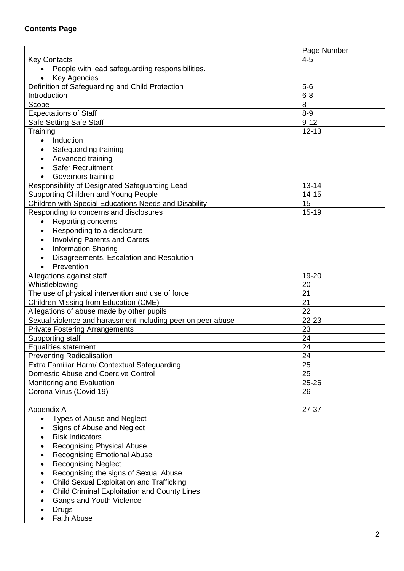|                                                             | Page Number |  |
|-------------------------------------------------------------|-------------|--|
| <b>Key Contacts</b>                                         | $4 - 5$     |  |
| People with lead safeguarding responsibilities.             |             |  |
| Key Agencies                                                |             |  |
| Definition of Safeguarding and Child Protection             | $5-6$       |  |
| Introduction                                                | $6 - 8$     |  |
| Scope                                                       | 8           |  |
| <b>Expectations of Staff</b>                                | $8-9$       |  |
| Safe Setting Safe Staff                                     | $9 - 12$    |  |
| Training                                                    | $12 - 13$   |  |
| Induction                                                   |             |  |
| Safeguarding training                                       |             |  |
| Advanced training                                           |             |  |
| <b>Safer Recruitment</b>                                    |             |  |
|                                                             |             |  |
| Governors training                                          |             |  |
| Responsibility of Designated Safeguarding Lead              | $13 - 14$   |  |
| Supporting Children and Young People                        | $14 - 15$   |  |
| Children with Special Educations Needs and Disability       | 15          |  |
| Responding to concerns and disclosures                      | $15 - 19$   |  |
| Reporting concerns                                          |             |  |
| Responding to a disclosure                                  |             |  |
| <b>Involving Parents and Carers</b>                         |             |  |
| <b>Information Sharing</b><br>$\bullet$                     |             |  |
| Disagreements, Escalation and Resolution                    |             |  |
| Prevention                                                  |             |  |
| Allegations against staff                                   | 19-20       |  |
| Whistleblowing                                              | 20          |  |
| The use of physical intervention and use of force           | 21          |  |
| Children Missing from Education (CME)                       | 21          |  |
| Allegations of abuse made by other pupils                   | 22          |  |
| Sexual violence and harassment including peer on peer abuse | 22-23       |  |
| <b>Private Fostering Arrangements</b>                       | 23          |  |
| Supporting staff                                            | 24          |  |
| <b>Equalities statement</b>                                 | 24          |  |
| <b>Preventing Radicalisation</b>                            | 24          |  |
| Extra Familiar Harm/ Contextual Safeguarding                | 25          |  |
| Domestic Abuse and Coercive Control                         | 25          |  |
| <b>Monitoring and Evaluation</b>                            | 25-26       |  |
| Corona Virus (Covid 19)                                     | 26          |  |
|                                                             |             |  |
| Appendix A                                                  | 27-37       |  |
| Types of Abuse and Neglect                                  |             |  |
| Signs of Abuse and Neglect                                  |             |  |
| <b>Risk Indicators</b>                                      |             |  |
| <b>Recognising Physical Abuse</b>                           |             |  |
| <b>Recognising Emotional Abuse</b>                          |             |  |
| <b>Recognising Neglect</b>                                  |             |  |
|                                                             |             |  |
| Recognising the signs of Sexual Abuse                       |             |  |
| <b>Child Sexual Exploitation and Trafficking</b>            |             |  |
| <b>Child Criminal Exploitation and County Lines</b>         |             |  |
| <b>Gangs and Youth Violence</b>                             |             |  |
| Drugs                                                       |             |  |
| <b>Faith Abuse</b>                                          |             |  |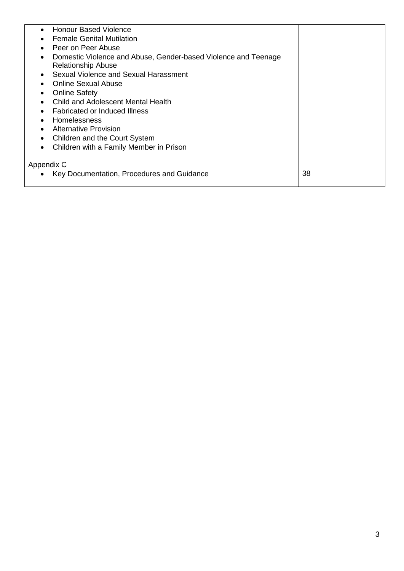| <b>Honour Based Violence</b><br>$\bullet$                                   |    |
|-----------------------------------------------------------------------------|----|
| <b>Female Genital Mutilation</b>                                            |    |
| Peer on Peer Abuse                                                          |    |
| Domestic Violence and Abuse, Gender-based Violence and Teenage<br>$\bullet$ |    |
| <b>Relationship Abuse</b>                                                   |    |
| Sexual Violence and Sexual Harassment                                       |    |
| <b>Online Sexual Abuse</b>                                                  |    |
| <b>Online Safety</b>                                                        |    |
| Child and Adolescent Mental Health                                          |    |
| <b>Fabricated or Induced Illness</b><br>$\bullet$                           |    |
| <b>Homelessness</b>                                                         |    |
| <b>Alternative Provision</b>                                                |    |
| Children and the Court System                                               |    |
| Children with a Family Member in Prison                                     |    |
|                                                                             |    |
| Appendix C                                                                  |    |
| Key Documentation, Procedures and Guidance                                  | 38 |
|                                                                             |    |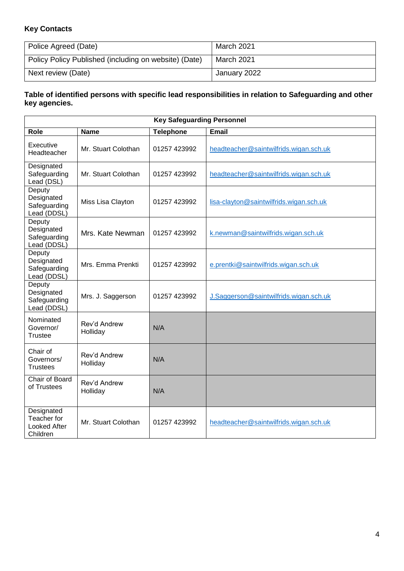# **Key Contacts**

| Police Agreed (Date)                                  | March 2021   |
|-------------------------------------------------------|--------------|
| Policy Policy Published (including on website) (Date) | March 2021   |
| Next review (Date)                                    | January 2022 |

#### **Table of identified persons with specific lead responsibilities in relation to Safeguarding and other key agencies.**

| <b>Key Safeguarding Personnel</b>                            |                          |                  |                                         |  |
|--------------------------------------------------------------|--------------------------|------------------|-----------------------------------------|--|
| Role                                                         | <b>Name</b>              | <b>Telephone</b> | Email                                   |  |
| Executive<br>Headteacher                                     | Mr. Stuart Colothan      | 01257 423992     | headteacher@saintwilfrids.wigan.sch.uk  |  |
| Designated<br>Safeguarding<br>Lead (DSL)                     | Mr. Stuart Colothan      | 01257 423992     | headteacher@saintwilfrids.wigan.sch.uk  |  |
| Deputy<br>Designated<br>Safeguarding<br>Lead (DDSL)          | Miss Lisa Clayton        | 01257 423992     | lisa-clayton@saintwilfrids.wigan.sch.uk |  |
| Deputy<br>Designated<br>Safeguarding<br>Lead (DDSL)          | Mrs. Kate Newman         | 01257 423992     | k.newman@saintwilfrids.wigan.sch.uk     |  |
| Deputy<br>Designated<br>Safeguarding<br>Lead (DDSL)          | Mrs. Emma Prenkti        | 01257 423992     | e.prentki@saintwilfrids.wigan.sch.uk    |  |
| Deputy<br>Designated<br>Safeguarding<br>Lead (DDSL)          | Mrs. J. Saggerson        | 01257 423992     | J.Saggerson@saintwilfrids.wigan.sch.uk  |  |
| Nominated<br>Governor/<br><b>Trustee</b>                     | Rev'd Andrew<br>Holliday | N/A              |                                         |  |
| Chair of<br>Governors/<br>Trustees                           | Rev'd Andrew<br>Holliday | N/A              |                                         |  |
| Chair of Board<br>of Trustees                                | Rev'd Andrew<br>Holliday | N/A              |                                         |  |
| Designated<br>Teacher for<br><b>Looked After</b><br>Children | Mr. Stuart Colothan      | 01257 423992     | headteacher@saintwilfrids.wigan.sch.uk  |  |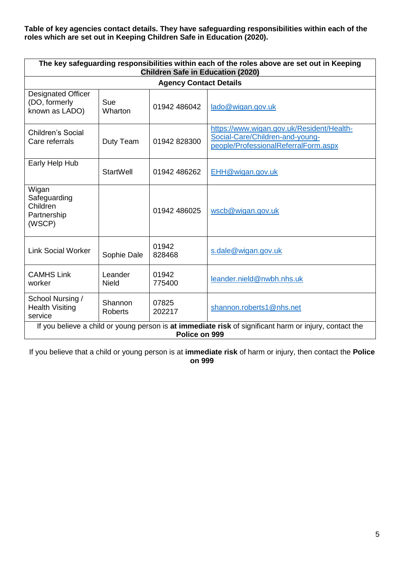**Table of key agencies contact details. They have safeguarding responsibilities within each of the roles which are set out in Keeping Children Safe in Education (2020).**

| The key safeguarding responsibilities within each of the roles above are set out in Keeping<br><b>Children Safe in Education (2020)</b> |                           |                 |                                                                                                                      |  |
|-----------------------------------------------------------------------------------------------------------------------------------------|---------------------------|-----------------|----------------------------------------------------------------------------------------------------------------------|--|
| <b>Agency Contact Details</b>                                                                                                           |                           |                 |                                                                                                                      |  |
| <b>Designated Officer</b><br>(DO, formerly<br>known as LADO)                                                                            | Sue<br><b>Wharton</b>     | 01942 486042    | lado@wigan.gov.uk                                                                                                    |  |
| Children's Social<br>Care referrals                                                                                                     | Duty Team                 | 01942 828300    | https://www.wigan.gov.uk/Resident/Health-<br>Social-Care/Children-and-young-<br>people/ProfessionalReferralForm.aspx |  |
| Early Help Hub                                                                                                                          | StartWell                 | 01942 486262    | EHH@wigan.gov.uk                                                                                                     |  |
| Wigan<br>Safeguarding<br>Children<br>Partnership<br>(WSCP)                                                                              |                           | 01942 486025    | wscb@wigan.gov.uk                                                                                                    |  |
| <b>Link Social Worker</b>                                                                                                               | Sophie Dale               | 01942<br>828468 | s.dale@wigan.gov.uk                                                                                                  |  |
| <b>CAMHS Link</b><br>worker                                                                                                             | Leander<br><b>Nield</b>   | 01942<br>775400 | leander.nield@nwbh.nhs.uk                                                                                            |  |
| School Nursing /<br><b>Health Visiting</b><br>service                                                                                   | Shannon<br><b>Roberts</b> | 07825<br>202217 | shannon.roberts1@nhs.net                                                                                             |  |
| If you believe a child or young person is at immediate risk of significant harm or injury, contact the<br>Police on 999                 |                           |                 |                                                                                                                      |  |

If you believe that a child or young person is at **immediate risk** of harm or injury, then contact the **Police on 999**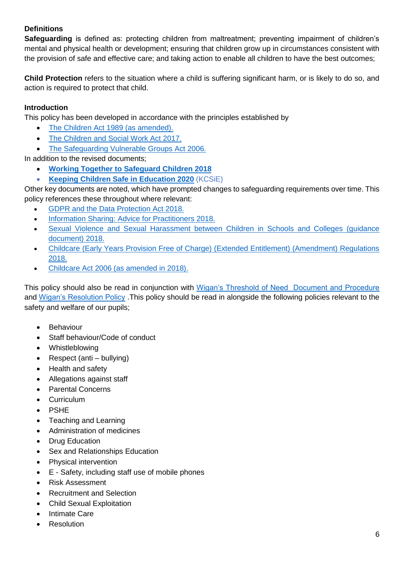# **Definitions**

**Safeguarding** is defined as: protecting children from maltreatment; preventing impairment of children's mental and physical health or development; ensuring that children grow up in circumstances consistent with the provision of safe and effective care; and taking action to enable all children to have the best outcomes;

**Child Protection** refers to the situation where a child is suffering significant harm, or is likely to do so, and action is required to protect that child.

## **Introduction**

This policy has been developed in accordance with the principles established by

- [The Children Act 1989 \(as amended\).](https://www.legislation.gov.uk/ukpga/1989/41/contents)
- [The Children and Social Work Act 2017.](https://www.legislation.gov.uk/ukpga/2017/16/contents/enacted)
- [The Safeguarding Vulnerable Groups Act 2006.](https://www.legislation.gov.uk/ukpga/2006/47/contents)

In addition to the revised documents;

- **[Working Together to Safeguard Children 2018](https://www.gov.uk/government/publications/working-together-to-safeguard-children--2)**
- **[Keeping Children Safe in Education 2020](https://www.gov.uk/government/publications/keeping-children-safe-in-education--2)** (KCSiE)

Other key documents are noted, which have prompted changes to safeguarding requirements over time. This policy references these throughout where relevant:

- [GDPR and the Data Protection Act 2018.](https://www.gov.uk/data-protection)
- [Information Sharing: Advice for Practitioners 2018.](https://www.gov.uk/government/publications/safeguarding-practitioners-information-sharing-advice)
- Sexual Violence and Sexual Harassment between Children in Schools and Colleges (quidance [document\) 2018.](https://www.gov.uk/government/publications/sexual-violence-and-sexual-harassment-between-children-in-schools-and-colleges)
- [Childcare \(Early Years Provision Free of Charge\) \(Extended Entitlement\) \(Amendment\) Regulations](https://www.gov.uk/government/publications/disqualification-under-the-childcare-act-2006/disqualification-under-the-childcare-act-2006)  [2018.](https://www.gov.uk/government/publications/disqualification-under-the-childcare-act-2006/disqualification-under-the-childcare-act-2006)
- [Childcare Act 2006 \(as amended in 2018\).](https://www.gov.uk/government/publications/disqualification-under-the-childcare-act-2006)

This policy should also be read in conjunction with [Wigan's Threshold of Need Document and Procedure](https://www.wiganlscb.com/Parent/Thresholds-of-Need.aspx) and [Wigan's Resolution Policy](https://www.wiganlscb.com/Docs/PDF/Professional/Resolution-Protocol-COVID-19-revision.pdf) .This policy should be read in alongside the following policies relevant to the safety and welfare of our pupils;

- **Behaviour**
- Staff behaviour/Code of conduct
- Whistleblowing
- Respect (anti bullying)
- Health and safety
- Allegations against staff
- Parental Concerns
- **Curriculum**
- PSHE
- Teaching and Learning
- Administration of medicines
- **Drug Education**
- Sex and Relationships Education
- Physical intervention
- E Safety, including staff use of mobile phones
- Risk Assessment
- Recruitment and Selection
- Child Sexual Exploitation
- Intimate Care
- **Resolution**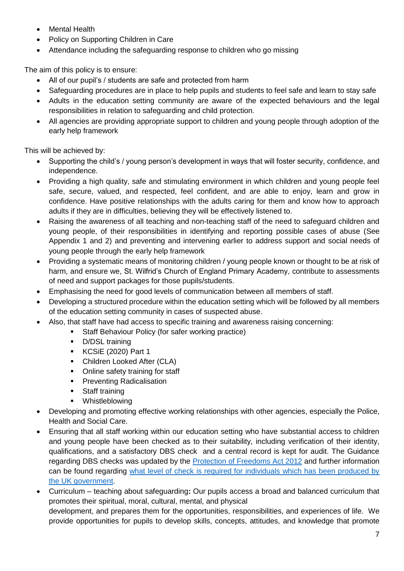- Mental Health
- Policy on Supporting Children in Care
- Attendance including the safeguarding response to children who go missing

The aim of this policy is to ensure:

- All of our pupil's / students are safe and protected from harm
- Safeguarding procedures are in place to help pupils and students to feel safe and learn to stay safe
- Adults in the education setting community are aware of the expected behaviours and the legal responsibilities in relation to safeguarding and child protection.
- All agencies are providing appropriate support to children and young people through adoption of the early help framework

This will be achieved by:

- Supporting the child's / young person's development in ways that will foster security, confidence, and independence.
- Providing a high quality, safe and stimulating environment in which children and young people feel safe, secure, valued, and respected, feel confident, and are able to enjoy, learn and grow in confidence. Have positive relationships with the adults caring for them and know how to approach adults if they are in difficulties, believing they will be effectively listened to.
- Raising the awareness of all teaching and non-teaching staff of the need to safeguard children and young people, of their responsibilities in identifying and reporting possible cases of abuse (See Appendix 1 and 2) and preventing and intervening earlier to address support and social needs of young people through the early help framework
- Providing a systematic means of monitoring children / young people known or thought to be at risk of harm, and ensure we, St. Wilfrid's Church of England Primary Academy, contribute to assessments of need and support packages for those pupils/students.
- Emphasising the need for good levels of communication between all members of staff.
- Developing a structured procedure within the education setting which will be followed by all members of the education setting community in cases of suspected abuse.
- Also, that staff have had access to specific training and awareness raising concerning:
	- Staff Behaviour Policy (for safer working practice)
	- D/DSL training
	- KCSiE (2020) Part 1
	- Children Looked After (CLA)
	- Online safety training for staff
	- Preventing Radicalisation
	- **■** Staff training
	- Whistleblowing
- Developing and promoting effective working relationships with other agencies, especially the Police, Health and Social Care.
- Ensuring that all staff working within our education setting who have substantial access to children and young people have been checked as to their suitability, including verification of their identity, qualifications, and a satisfactory DBS check and a central record is kept for audit. The Guidance regarding DBS checks was updated by the [Protection of Freedoms Act 2012](https://www.legislation.gov.uk/ukpga/2012/9/contents) and further information can be found regarding [what level of check is required for individuals which has been produced by](https://www.gov.uk/dbs-check-applicant-criminal-record)  [the UK government.](https://www.gov.uk/dbs-check-applicant-criminal-record)
- Curriculum teaching about safeguarding**:** Our pupils access a broad and balanced curriculum that promotes their spiritual, moral, cultural, mental, and physical development, and prepares them for the opportunities, responsibilities, and experiences of life. We provide opportunities for pupils to develop skills, concepts, attitudes, and knowledge that promote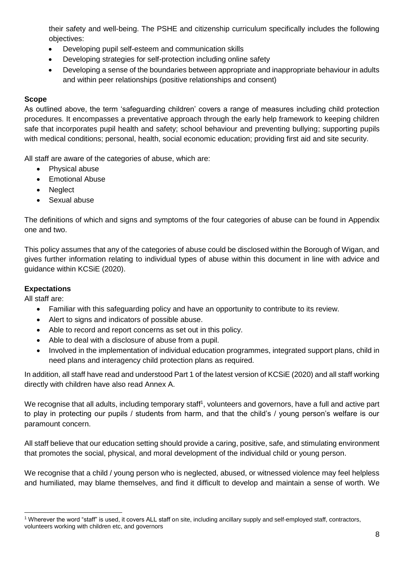their safety and well-being. The PSHE and citizenship curriculum specifically includes the following objectives:

- Developing pupil self-esteem and communication skills
- Developing strategies for self-protection including online safety
- Developing a sense of the boundaries between appropriate and inappropriate behaviour in adults and within peer relationships (positive relationships and consent)

## **Scope**

As outlined above, the term 'safeguarding children' covers a range of measures including child protection procedures. It encompasses a preventative approach through the early help framework to keeping children safe that incorporates pupil health and safety; school behaviour and preventing bullying; supporting pupils with medical conditions; personal, health, social economic education; providing first aid and site security.

All staff are aware of the categories of abuse, which are:

- Physical abuse
- Emotional Abuse
- **Neglect**
- Sexual abuse

The definitions of which and signs and symptoms of the four categories of abuse can be found in Appendix one and two.

This policy assumes that any of the categories of abuse could be disclosed within the Borough of Wigan, and gives further information relating to individual types of abuse within this document in line with advice and guidance within KCSiE (2020).

## **Expectations**

All staff are:

- Familiar with this safeguarding policy and have an opportunity to contribute to its review.
- Alert to signs and indicators of possible abuse.
- Able to record and report concerns as set out in this policy.
- Able to deal with a disclosure of abuse from a pupil.
- Involved in the implementation of individual education programmes, integrated support plans, child in need plans and interagency child protection plans as required.

In addition, all staff have read and understood Part 1 of the latest version of KCSiE (2020) and all staff working directly with children have also read Annex A.

We recognise that all adults, including temporary staff<sup>1</sup>, volunteers and governors, have a full and active part to play in protecting our pupils / students from harm, and that the child's / young person's welfare is our paramount concern.

All staff believe that our education setting should provide a caring, positive, safe, and stimulating environment that promotes the social, physical, and moral development of the individual child or young person.

We recognise that a child / young person who is neglected, abused, or witnessed violence may feel helpless and humiliated, may blame themselves, and find it difficult to develop and maintain a sense of worth. We

<sup>-</sup><sup>1</sup> Wherever the word "staff" is used, it covers ALL staff on site, including ancillary supply and self-employed staff, contractors, volunteers working with children etc, and governors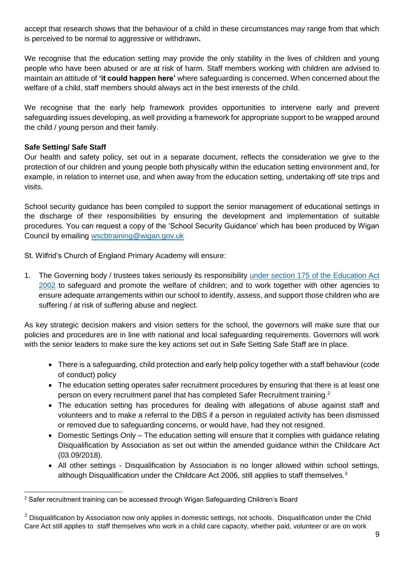accept that research shows that the behaviour of a child in these circumstances may range from that which is perceived to be normal to aggressive or withdrawn**.** 

We recognise that the education setting may provide the only stability in the lives of children and young people who have been abused or are at risk of harm. Staff members working with children are advised to maintain an attitude of **'it could happen here'** where safeguarding is concerned. When concerned about the welfare of a child, staff members should always act in the best interests of the child.

We recognise that the early help framework provides opportunities to intervene early and prevent safeguarding issues developing, as well providing a framework for appropriate support to be wrapped around the child / young person and their family.

## **Safe Setting/ Safe Staff**

Our health and safety policy, set out in a separate document, reflects the consideration we give to the protection of our children and young people both physically within the education setting environment and, for example, in relation to internet use, and when away from the education setting, undertaking off site trips and visits.

School security guidance has been compiled to support the senior management of educational settings in the discharge of their responsibilities by ensuring the development and implementation of suitable procedures. You can request a copy of the 'School Security Guidance' which has been produced by Wigan Council by emailing [wscbtraining@wigan.gov.uk](mailto:wscbtraining@wigan.gov.uk)

St. Wilfrid's Church of England Primary Academy will ensure:

1. The Governing body / trustees takes seriously its responsibility [under section 175 of the Education Act](https://www.legislation.gov.uk/ukpga/2002/32/section/175)  [2002](https://www.legislation.gov.uk/ukpga/2002/32/section/175) to safeguard and promote the welfare of children; and to work together with other agencies to ensure adequate arrangements within our school to identify, assess, and support those children who are suffering / at risk of suffering abuse and neglect.

As key strategic decision makers and vision setters for the school, the governors will make sure that our policies and procedures are in line with national and local safeguarding requirements. Governors will work with the senior leaders to make sure the key actions set out in Safe Setting Safe Staff are in place.

- There is a safeguarding, child protection and early help policy together with a staff behaviour (code of conduct) policy
- The education setting operates safer recruitment procedures by ensuring that there is at least one person on every recruitment panel that has completed Safer Recruitment training.<sup>2</sup>
- The education setting has procedures for dealing with allegations of abuse against staff and volunteers and to make a referral to the DBS if a person in regulated activity has been dismissed or removed due to safeguarding concerns, or would have, had they not resigned.
- Domestic Settings Only The education setting will ensure that it complies with guidance relating Disqualification by Association as set out within the amended guidance within the Childcare Act (03.09/2018).
- All other settings Disqualification by Association is no longer allowed within school settings, although Disqualification under the Childcare Act 2006, still applies to staff themselves. $3$

<sup>-</sup><sup>2</sup> Safer recruitment training can be accessed through Wigan Safeguarding Children's Board

 $3$  Disqualification by Association now only applies in domestic settings, not schools. Disqualification under the Child Care Act still applies to staff themselves who work in a child care capacity, whether paid, volunteer or are on work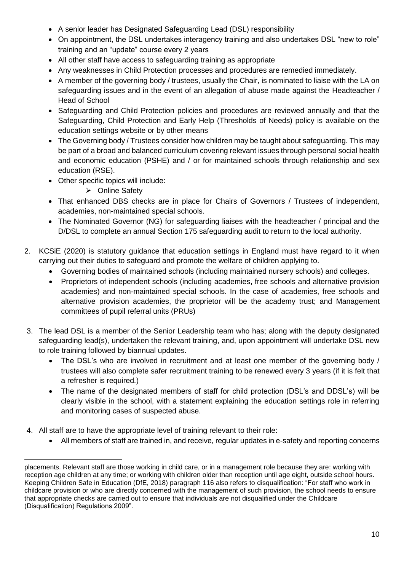- A senior leader has Designated Safeguarding Lead (DSL) responsibility
- On appointment, the DSL undertakes interagency training and also undertakes DSL "new to role" training and an "update" course every 2 years
- All other staff have access to safeguarding training as appropriate
- Any weaknesses in Child Protection processes and procedures are remedied immediately.
- A member of the governing body / trustees, usually the Chair, is nominated to liaise with the LA on safeguarding issues and in the event of an allegation of abuse made against the Headteacher / Head of School
- Safeguarding and Child Protection policies and procedures are reviewed annually and that the Safeguarding, Child Protection and Early Help (Thresholds of Needs) policy is available on the education settings website or by other means
- The Governing body / Trustees consider how children may be taught about safeguarding. This may be part of a broad and balanced curriculum covering relevant issues through personal social health and economic education (PSHE) and / or for maintained schools through relationship and sex education (RSE).
- Other specific topics will include:
	- ➢ Online Safety
- That enhanced DBS checks are in place for Chairs of Governors / Trustees of independent, academies, non-maintained special schools.
- The Nominated Governor (NG) for safeguarding liaises with the headteacher / principal and the D/DSL to complete an annual Section 175 safeguarding audit to return to the local authority.
- 2. KCSiE (2020) is statutory guidance that education settings in England must have regard to it when carrying out their duties to safeguard and promote the welfare of children applying to.
	- Governing bodies of maintained schools (including maintained nursery schools) and colleges.
	- Proprietors of independent schools (including academies, free schools and alternative provision academies) and non-maintained special schools. In the case of academies, free schools and alternative provision academies, the proprietor will be the academy trust; and Management committees of pupil referral units (PRUs)
- 3. The lead DSL is a member of the Senior Leadership team who has; along with the deputy designated safeguarding lead(s), undertaken the relevant training, and, upon appointment will undertake DSL new to role training followed by biannual updates.
	- The DSL's who are involved in recruitment and at least one member of the governing body / trustees will also complete safer recruitment training to be renewed every 3 years (if it is felt that a refresher is required.)
	- The name of the designated members of staff for child protection (DSL's and DDSL's) will be clearly visible in the school, with a statement explaining the education settings role in referring and monitoring cases of suspected abuse.
- 4. All staff are to have the appropriate level of training relevant to their role:
	- All members of staff are trained in, and receive, regular updates in e-safety and reporting concerns

placements. Relevant staff are those working in child care, or in a management role because they are: working with reception age children at any time; or working with children older than reception until age eight, outside school hours. Keeping Children Safe in Education (DfE, 2018) paragraph 116 also refers to disqualification: "For staff who work in childcare provision or who are directly concerned with the management of such provision, the school needs to ensure that appropriate checks are carried out to ensure that individuals are not disqualified under the Childcare (Disqualification) Regulations 2009".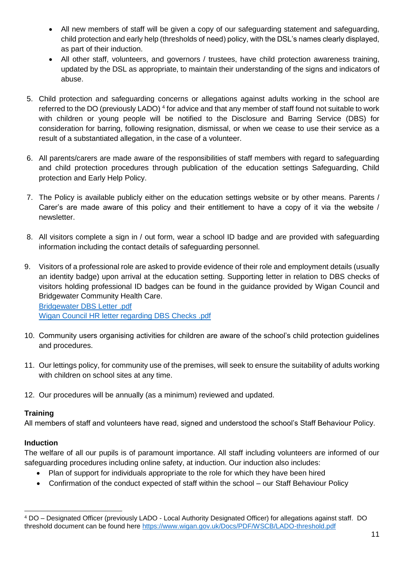- All new members of staff will be given a copy of our safeguarding statement and safeguarding, child protection and early help (thresholds of need) policy, with the DSL's names clearly displayed, as part of their induction.
- All other staff, volunteers, and governors / trustees, have child protection awareness training, updated by the DSL as appropriate, to maintain their understanding of the signs and indicators of abuse.
- 5. Child protection and safeguarding concerns or allegations against adults working in the school are referred to the DO (previously LADO)<sup>4</sup> for advice and that any member of staff found not suitable to work with children or young people will be notified to the Disclosure and Barring Service (DBS) for consideration for barring, following resignation, dismissal, or when we cease to use their service as a result of a substantiated allegation, in the case of a volunteer.
- 6. All parents/carers are made aware of the responsibilities of staff members with regard to safeguarding and child protection procedures through publication of the education settings Safeguarding, Child protection and Early Help Policy.
- 7. The Policy is available publicly either on the education settings website or by other means. Parents / Carer's are made aware of this policy and their entitlement to have a copy of it via the website / newsletter.
- 8. All visitors complete a sign in / out form, wear a school ID badge and are provided with safeguarding information including the contact details of safeguarding personnel.
- 9. Visitors of a professional role are asked to provide evidence of their role and employment details (usually an identity badge) upon arrival at the education setting. Supporting letter in relation to DBS checks of visitors holding professional ID badges can be found in the guidance provided by Wigan Council and Bridgewater Community Health Care. [Bridgewater DBS Letter .pdf](file://///wig-vmw-p-fsw03/Partnership%20and%20Safeguarding/Workforce%20Development%20and%20Engagement%20Team/Lancaster%20University%20Conference%20-%20IPVAM/Karina%20Warwick/Bridgewater%20DBS%20Letter%20.pdf) [Wigan Council HR letter regarding DBS Checks .pdf](file://///wig-vmw-p-fsw03/Partnership%20and%20Safeguarding/Workforce%20Development%20and%20Engagement%20Team/Lancaster%20University%20Conference%20-%20IPVAM/Karina%20Warwick/Wigan%20Council%20HR%20letter%20regarding%20DBS%20Checks%20.pdf)
- 10. Community users organising activities for children are aware of the school's child protection guidelines and procedures.
- 11. Our lettings policy, for community use of the premises, will seek to ensure the suitability of adults working with children on school sites at any time.
- 12. Our procedures will be annually (as a minimum) reviewed and updated.

## **Training**

All members of staff and volunteers have read, signed and understood the school's Staff Behaviour Policy.

## **Induction**

The welfare of all our pupils is of paramount importance. All staff including volunteers are informed of our safeguarding procedures including online safety, at induction. Our induction also includes:

- Plan of support for individuals appropriate to the role for which they have been hired
- Confirmation of the conduct expected of staff within the school our Staff Behaviour Policy

<sup>-</sup><sup>4</sup> DO – Designated Officer (previously LADO - Local Authority Designated Officer) for allegations against staff. DO threshold document can be found here<https://www.wigan.gov.uk/Docs/PDF/WSCB/LADO-threshold.pdf>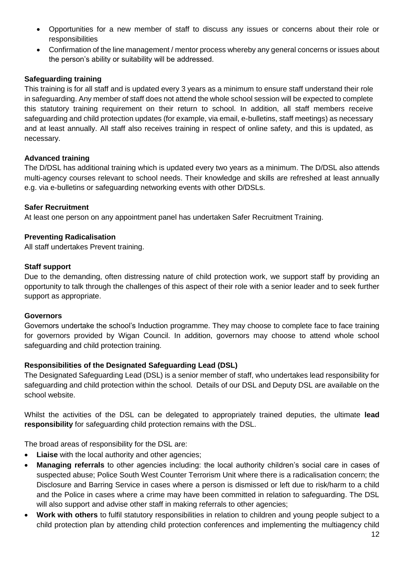- Opportunities for a new member of staff to discuss any issues or concerns about their role or responsibilities
- Confirmation of the line management / mentor process whereby any general concerns or issues about the person's ability or suitability will be addressed.

## **Safeguarding training**

This training is for all staff and is updated every 3 years as a minimum to ensure staff understand their role in safeguarding. Any member of staff does not attend the whole school session will be expected to complete this statutory training requirement on their return to school. In addition, all staff members receive safeguarding and child protection updates (for example, via email, e-bulletins, staff meetings) as necessary and at least annually. All staff also receives training in respect of online safety, and this is updated, as necessary.

#### **Advanced training**

The D/DSL has additional training which is updated every two years as a minimum. The D/DSL also attends multi-agency courses relevant to school needs. Their knowledge and skills are refreshed at least annually e.g. via e-bulletins or safeguarding networking events with other D/DSLs.

#### **Safer Recruitment**

At least one person on any appointment panel has undertaken Safer Recruitment Training.

#### **Preventing Radicalisation**

All staff undertakes Prevent training.

#### **Staff support**

Due to the demanding, often distressing nature of child protection work, we support staff by providing an opportunity to talk through the challenges of this aspect of their role with a senior leader and to seek further support as appropriate.

#### **Governors**

Governors undertake the school's Induction programme. They may choose to complete face to face training for governors provided by Wigan Council. In addition, governors may choose to attend whole school safeguarding and child protection training.

#### **Responsibilities of the Designated Safeguarding Lead (DSL)**

The Designated Safeguarding Lead (DSL) is a senior member of staff, who undertakes lead responsibility for safeguarding and child protection within the school. Details of our DSL and Deputy DSL are available on the school website.

Whilst the activities of the DSL can be delegated to appropriately trained deputies, the ultimate **lead responsibility** for safeguarding child protection remains with the DSL.

The broad areas of responsibility for the DSL are:

- **Liaise** with the local authority and other agencies;
- **Managing referrals** to other agencies including: the local authority children's social care in cases of suspected abuse; Police South West Counter Terrorism Unit where there is a radicalisation concern; the Disclosure and Barring Service in cases where a person is dismissed or left due to risk/harm to a child and the Police in cases where a crime may have been committed in relation to safeguarding. The DSL will also support and advise other staff in making referrals to other agencies;
- **Work with others** to fulfil statutory responsibilities in relation to children and young people subject to a child protection plan by attending child protection conferences and implementing the multiagency child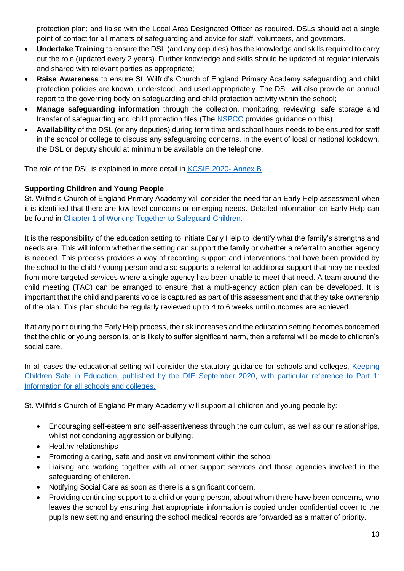protection plan; and liaise with the Local Area Designated Officer as required. DSLs should act a single point of contact for all matters of safeguarding and advice for staff, volunteers, and governors.

- **Undertake Training** to ensure the DSL (and any deputies) has the knowledge and skills required to carry out the role (updated every 2 years). Further knowledge and skills should be updated at regular intervals and shared with relevant parties as appropriate;
- **Raise Awareness** to ensure St. Wilfrid's Church of England Primary Academy safeguarding and child protection policies are known, understood, and used appropriately. The DSL will also provide an annual report to the governing body on safeguarding and child protection activity within the school;
- **Manage safeguarding information** through the collection, monitoring, reviewing, safe storage and transfer of safeguarding and child protection files (The [NSPCC](https://learning.nspcc.org.uk/media/1442/child-protection-records-retention-and-storage-guidelines-september-2019.pdf) provides guidance on this)
- **Availability** of the DSL (or any deputies) during term time and school hours needs to be ensured for staff in the school or college to discuss any safeguarding concerns. In the event of local or national lockdown, the DSL or deputy should at minimum be available on the telephone.

The role of the DSL is explained in more detail in [KCSIE 2020-](https://assets.publishing.service.gov.uk/government/uploads/system/uploads/attachment_data/file/912592/Keeping_children_safe_in_education_Sep_2020.pdf) Annex B.

## **Supporting Children and Young People**

St. Wilfrid's Church of England Primary Academy will consider the need for an Early Help assessment when it is identified that there are low level concerns or emerging needs. Detailed information on Early Help can be found in [Chapter 1 of Working Together to Safeguard Children.](https://www.gov.uk/government/publications/working-together-to-safeguard-children--2)

It is the responsibility of the education setting to initiate Early Help to identify what the family's strengths and needs are. This will inform whether the setting can support the family or whether a referral to another agency is needed. This process provides a way of recording support and interventions that have been provided by the school to the child / young person and also supports a referral for additional support that may be needed from more targeted services where a single agency has been unable to meet that need. A team around the child meeting (TAC) can be arranged to ensure that a multi-agency action plan can be developed. It is important that the child and parents voice is captured as part of this assessment and that they take ownership of the plan. This plan should be regularly reviewed up to 4 to 6 weeks until outcomes are achieved.

If at any point during the Early Help process, the risk increases and the education setting becomes concerned that the child or young person is, or is likely to suffer significant harm, then a referral will be made to children's social care.

In all cases the educational setting will consider the statutory guidance for schools and colleges, Keeping [Children Safe in Education, published by the DfE September 2020, with particular reference to Part 1:](https://www.gov.uk/government/publications/keeping-children-safe-in-education--2)  [Information for all schools and colleges.](https://www.gov.uk/government/publications/keeping-children-safe-in-education--2)

St. Wilfrid's Church of England Primary Academy will support all children and young people by:

- Encouraging self-esteem and self-assertiveness through the curriculum, as well as our relationships, whilst not condoning aggression or bullying.
- Healthy relationships
- Promoting a caring, safe and positive environment within the school.
- Liaising and working together with all other support services and those agencies involved in the safeguarding of children.
- Notifying Social Care as soon as there is a significant concern.
- Providing continuing support to a child or young person, about whom there have been concerns, who leaves the school by ensuring that appropriate information is copied under confidential cover to the pupils new setting and ensuring the school medical records are forwarded as a matter of priority.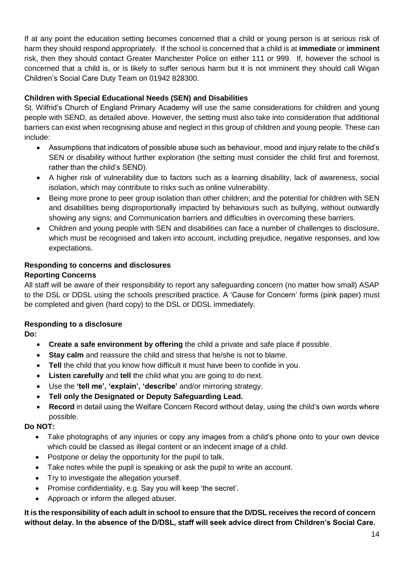If at any point the education setting becomes concerned that a child or young person is at serious risk of harm they should respond appropriately. If the school is concerned that a child is at **immediate** or **imminent** risk, then they should contact Greater Manchester Police on either 111 or 999. If, however the school is concerned that a child is, or is likely to suffer serious harm but it is not imminent they should call Wigan Children's Social Care Duty Team on 01942 828300.

## **Children with Special Educational Needs (SEN) and Disabilities**

St. Wilfrid's Church of England Primary Academy will use the same considerations for children and young people with SEND, as detailed above. However, the setting must also take into consideration that additional barriers can exist when recognising abuse and neglect in this group of children and young people. These can include:

- Assumptions that indicators of possible abuse such as behaviour, mood and injury relate to the child's SEN or disability without further exploration (the setting must consider the child first and foremost, rather than the child's SEND).
- A higher risk of vulnerability due to factors such as a learning disability, lack of awareness, social isolation, which may contribute to risks such as online vulnerability.
- Being more prone to peer group isolation than other children; and the potential for children with SEN and disabilities being disproportionally impacted by behaviours such as bullying, without outwardly showing any signs; and Communication barriers and difficulties in overcoming these barriers.
- Children and young people with SEN and disabilities can face a number of challenges to disclosure, which must be recognised and taken into account, including prejudice, negative responses, and low expectations.

#### **Responding to concerns and disclosures Reporting Concerns**

All staff will be aware of their responsibility to report any safeguarding concern (no matter how small) ASAP to the DSL or DDSL using the schools prescribed practice. A 'Cause for Concern' forms (pink paper) must be completed and given (hard copy) to the DSL or DDSL immediately.

## **Responding to a disclosure**

**Do:**

- **Create a safe environment by offering** the child a private and safe place if possible.
- **Stay calm** and reassure the child and stress that he/she is not to blame.
- **Tell** the child that you know how difficult it must have been to confide in you.
- **Listen carefully** and **tell** the child what you are going to do next.
- Use the **'tell me', 'explain', 'describe'** and/or mirroring strategy.
- **Tell only the Designated or Deputy Safeguarding Lead.**
- **Record** in detail using the Welfare Concern Record without delay, using the child's own words where possible.

# **Do NOT:**

- Take photographs of any injuries or copy any images from a child's phone onto to your own device which could be classed as illegal content or an indecent image of a child.
- Postpone or delay the opportunity for the pupil to talk.
- Take notes while the pupil is speaking or ask the pupil to write an account.
- Try to investigate the allegation yourself.
- Promise confidentiality, e.g. Say you will keep 'the secret'.
- Approach or inform the alleged abuser.

**It is the responsibility of each adult in school to ensure that the D/DSL receives the record of concern without delay. In the absence of the D/DSL, staff will seek advice direct from Children's Social Care.**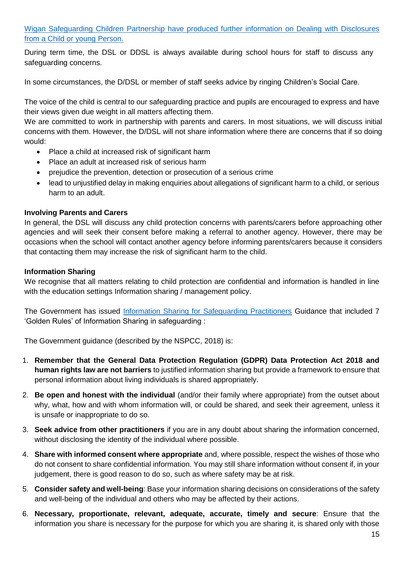[Wigan Safeguarding Children Partnership have produced further information on Dealing with Disclosures](https://www.wiganlscb.com/Search-results.aspx?search_keywords=dealing%20with%20disclosures)  [from a Child or young Person.](https://www.wiganlscb.com/Search-results.aspx?search_keywords=dealing%20with%20disclosures)

During term time, the DSL or DDSL is always available during school hours for staff to discuss any safeguarding concerns.

In some circumstances, the D/DSL or member of staff seeks advice by ringing Children's Social Care.

The voice of the child is central to our safeguarding practice and pupils are encouraged to express and have their views given due weight in all matters affecting them.

We are committed to work in partnership with parents and carers. In most situations, we will discuss initial concerns with them. However, the D/DSL will not share information where there are concerns that if so doing would:

- Place a child at increased risk of significant harm
- Place an adult at increased risk of serious harm
- prejudice the prevention, detection or prosecution of a serious crime
- lead to unjustified delay in making enquiries about allegations of significant harm to a child, or serious harm to an adult.

## **Involving Parents and Carers**

In general, the DSL will discuss any child protection concerns with parents/carers before approaching other agencies and will seek their consent before making a referral to another agency. However, there may be occasions when the school will contact another agency before informing parents/carers because it considers that contacting them may increase the risk of significant harm to the child.

#### **Information Sharing**

We recognise that all matters relating to child protection are confidential and information is handled in line with the education settings Information sharing / management policy.

The Government has issued [Information Sharing for Safeguarding Practitioners](https://www.gov.uk/government/publications/safeguarding-practitioners-information-sharing-advice) Guidance that included 7 'Golden Rules' of Information Sharing in safeguarding :

The Government guidance (described by the NSPCC, 2018) is:

- 1. **Remember that the General Data Protection Regulation (GDPR) Data Protection Act 2018 and human rights law are not barriers** to justified information sharing but provide a framework to ensure that personal information about living individuals is shared appropriately.
- 2. **Be open and honest with the individual** (and/or their family where appropriate) from the outset about why, what, how and with whom information will, or could be shared, and seek their agreement, unless it is unsafe or inappropriate to do so.
- 3. **Seek advice from other practitioners** if you are in any doubt about sharing the information concerned, without disclosing the identity of the individual where possible.
- 4. **Share with informed consent where appropriate** and, where possible, respect the wishes of those who do not consent to share confidential information. You may still share information without consent if, in your judgement, there is good reason to do so, such as where safety may be at risk.
- 5. **Consider safety and well-being**: Base your information sharing decisions on considerations of the safety and well-being of the individual and others who may be affected by their actions.
- 6. **Necessary, proportionate, relevant, adequate, accurate, timely and secure**: Ensure that the information you share is necessary for the purpose for which you are sharing it, is shared only with those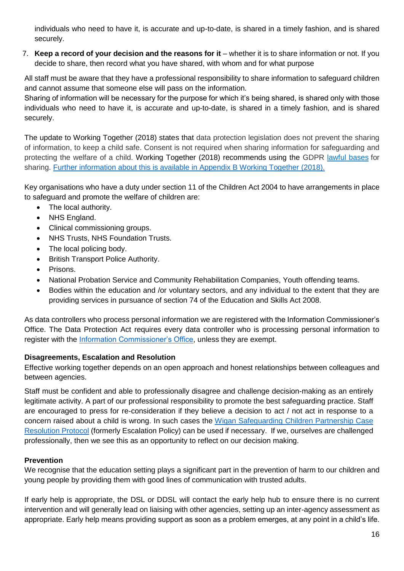individuals who need to have it, is accurate and up-to-date, is shared in a timely fashion, and is shared securely.

7. **Keep a record of your decision and the reasons for it** – whether it is to share information or not. If you decide to share, then record what you have shared, with whom and for what purpose

All staff must be aware that they have a professional responsibility to share information to safeguard children and cannot assume that someone else will pass on the information.

Sharing of information will be necessary for the purpose for which it's being shared, is shared only with those individuals who need to have it, is accurate and up-to-date, is shared in a timely fashion, and is shared securely.

The update to Working Together (2018) states that data protection legislation does not prevent the sharing of information, to keep a child safe. Consent is not required when sharing information for safeguarding and protecting the welfare of a child. Working Together (2018) recommends using the GDPR [lawful](https://ico.org.uk/for-organisations/guide-to-data-protection/guide-to-the-general-data-protection-regulation-gdpr/lawful-basis-for-processing/) bases for sharing. [Further information about this is available in Appendix B Working Together \(2018\).](https://www.gov.uk/government/publications/working-together-to-safeguard-children--2)

Key organisations who have a duty under section 11 of the Children Act 2004 to have arrangements in place to safeguard and promote the welfare of children are:

- The local authority.
- NHS England.
- Clinical commissioning groups.
- **NHS Trusts, NHS Foundation Trusts.**
- The local policing body.
- British Transport Police Authority.
- Prisons.
- National Probation Service and Community Rehabilitation Companies, Youth offending teams.
- Bodies within the education and /or voluntary sectors, and any individual to the extent that they are providing services in pursuance of section 74 of the Education and Skills Act 2008.

As data controllers who process personal information we are registered with the Information Commissioner's Office. The Data Protection Act requires every data controller who is processing personal information to register with the [Information Commissioner's Office,](https://ico.org.uk/for-organisations/data-protection-fee/self-assessment/) unless they are exempt.

# **Disagreements, Escalation and Resolution**

Effective working together depends on an open approach and honest relationships between colleagues and between agencies.

Staff must be confident and able to professionally disagree and challenge decision-making as an entirely legitimate activity. A part of our professional responsibility to promote the best safeguarding practice. Staff are encouraged to press for re-consideration if they believe a decision to act / not act in response to a concern raised about a child is wrong. In such cases the [Wigan Safeguarding Children Partnership Case](https://www.wiganlscb.com/Professionals/Guidance-and-policies/index.aspx)  [Resolution Protocol](https://www.wiganlscb.com/Professionals/Guidance-and-policies/index.aspx) (formerly Escalation Policy) can be used if necessary. If we, ourselves are challenged professionally, then we see this as an opportunity to reflect on our decision making.

# **Prevention**

We recognise that the education setting plays a significant part in the prevention of harm to our children and young people by providing them with good lines of communication with trusted adults.

If early help is appropriate, the DSL or DDSL will contact the early help hub to ensure there is no current intervention and will generally lead on liaising with other agencies, setting up an inter-agency assessment as appropriate. Early help means providing support as soon as a problem emerges, at any point in a child's life.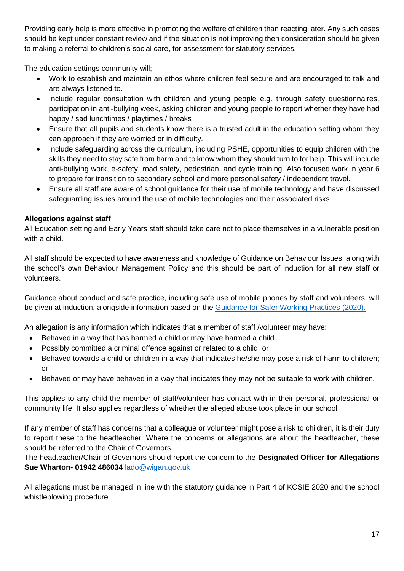Providing early help is more effective in promoting the welfare of children than reacting later. Any such cases should be kept under constant review and if the situation is not improving then consideration should be given to making a referral to children's social care, for assessment for statutory services.

The education settings community will;

- Work to establish and maintain an ethos where children feel secure and are encouraged to talk and are always listened to.
- Include regular consultation with children and young people e.g. through safety questionnaires, participation in anti-bullying week, asking children and young people to report whether they have had happy / sad lunchtimes / playtimes / breaks
- Ensure that all pupils and students know there is a trusted adult in the education setting whom they can approach if they are worried or in difficulty.
- Include safeguarding across the curriculum, including PSHE, opportunities to equip children with the skills they need to stay safe from harm and to know whom they should turn to for help. This will include anti-bullying work, e-safety, road safety, pedestrian, and cycle training. Also focused work in year 6 to prepare for transition to secondary school and more personal safety / independent travel.
- Ensure all staff are aware of school guidance for their use of mobile technology and have discussed safeguarding issues around the use of mobile technologies and their associated risks.

# **Allegations against staff**

All Education setting and Early Years staff should take care not to place themselves in a vulnerable position with a child.

All staff should be expected to have awareness and knowledge of Guidance on Behaviour Issues, along with the school's own Behaviour Management Policy and this should be part of induction for all new staff or volunteers.

Guidance about conduct and safe practice, including safe use of mobile phones by staff and volunteers, will be given at induction, alongside information based on the [Guidance for Safer Working Practices](https://www.saferrecruitmentconsortium.org/GSWP%20COVID%20addendum%20April%202020%20final-1.pdf) (2020).

An allegation is any information which indicates that a member of staff /volunteer may have:

- Behaved in a way that has harmed a child or may have harmed a child.
- Possibly committed a criminal offence against or related to a child; or
- Behaved towards a child or children in a way that indicates he/she may pose a risk of harm to children; or
- Behaved or may have behaved in a way that indicates they may not be suitable to work with children.

This applies to any child the member of staff/volunteer has contact with in their personal, professional or community life. It also applies regardless of whether the alleged abuse took place in our school

If any member of staff has concerns that a colleague or volunteer might pose a risk to children, it is their duty to report these to the headteacher. Where the concerns or allegations are about the headteacher, these should be referred to the Chair of Governors.

The headteacher/Chair of Governors should report the concern to the **Designated Officer for Allegations Sue Wharton- 01942 486034** [lado@wigan.gov.uk](mailto:lado@wigan.gov.uk)

All allegations must be managed in line with the statutory guidance in Part 4 of KCSIE 2020 and the school whistleblowing procedure.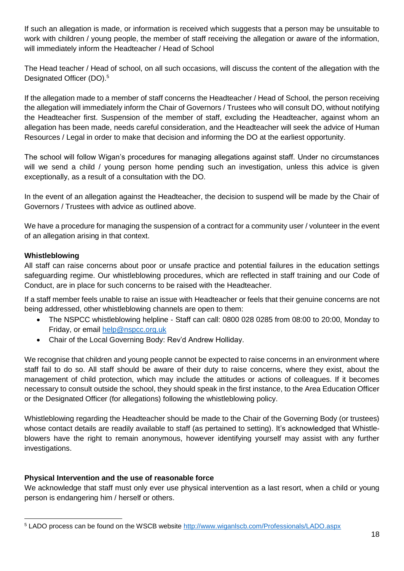If such an allegation is made, or information is received which suggests that a person may be unsuitable to work with children / young people, the member of staff receiving the allegation or aware of the information, will immediately inform the Headteacher / Head of School

The Head teacher / Head of school, on all such occasions, will discuss the content of the allegation with the Designated Officer (DO).<sup>5</sup>

If the allegation made to a member of staff concerns the Headteacher / Head of School, the person receiving the allegation will immediately inform the Chair of Governors / Trustees who will consult DO, without notifying the Headteacher first. Suspension of the member of staff, excluding the Headteacher, against whom an allegation has been made, needs careful consideration, and the Headteacher will seek the advice of Human Resources / Legal in order to make that decision and informing the DO at the earliest opportunity.

The school will follow Wigan's procedures for managing allegations against staff. Under no circumstances will we send a child / young person home pending such an investigation, unless this advice is given exceptionally, as a result of a consultation with the DO.

In the event of an allegation against the Headteacher, the decision to suspend will be made by the Chair of Governors / Trustees with advice as outlined above.

We have a procedure for managing the suspension of a contract for a community user / volunteer in the event of an allegation arising in that context.

## **Whistleblowing**

All staff can raise concerns about poor or unsafe practice and potential failures in the education settings safeguarding regime. Our whistleblowing procedures, which are reflected in staff training and our Code of Conduct, are in place for such concerns to be raised with the Headteacher.

If a staff member feels unable to raise an issue with Headteacher or feels that their genuine concerns are not being addressed, other whistleblowing channels are open to them:

- The NSPCC whistleblowing helpline Staff can call: 0800 028 0285 from 08:00 to 20:00, Monday to Friday, or email [help@nspcc.org.uk](file://///wig-vmw-p-fsw03/Partnership%20and%20Safeguarding/Workforce%20Development%20and%20Engagement%20Team/Lancaster%20University%20Conference%20-%20IPVAM/Karina%20Warwick/help@nspcc.org.uk)
- Chair of the Local Governing Body: Rev'd Andrew Holliday.

We recognise that children and young people cannot be expected to raise concerns in an environment where staff fail to do so. All staff should be aware of their duty to raise concerns, where they exist, about the management of child protection, which may include the attitudes or actions of colleagues. If it becomes necessary to consult outside the school, they should speak in the first instance, to the Area Education Officer or the Designated Officer (for allegations) following the whistleblowing policy.

Whistleblowing regarding the Headteacher should be made to the Chair of the Governing Body (or trustees) whose contact details are readily available to staff (as pertained to setting). It's acknowledged that Whistleblowers have the right to remain anonymous, however identifying yourself may assist with any further investigations.

## **Physical Intervention and the use of reasonable force**

We acknowledge that staff must only ever use physical intervention as a last resort, when a child or young person is endangering him / herself or others.

<sup>-</sup><sup>5</sup> LADO process can be found on the WSCB website<http://www.wiganlscb.com/Professionals/LADO.aspx>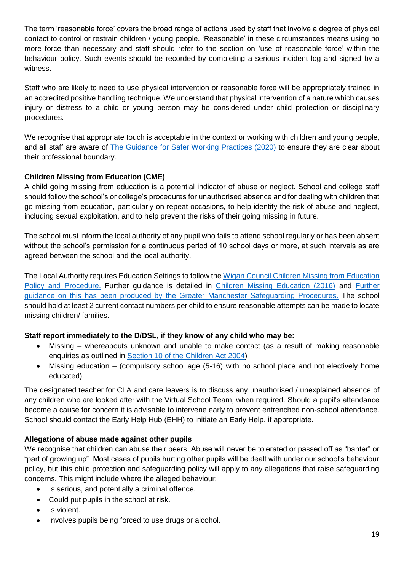The term 'reasonable force' covers the broad range of actions used by staff that involve a degree of physical contact to control or restrain children / young people. 'Reasonable' in these circumstances means using no more force than necessary and staff should refer to the section on 'use of reasonable force' within the behaviour policy. Such events should be recorded by completing a serious incident log and signed by a witness.

Staff who are likely to need to use physical intervention or reasonable force will be appropriately trained in an accredited positive handling technique. We understand that physical intervention of a nature which causes injury or distress to a child or young person may be considered under child protection or disciplinary procedures.

We recognise that appropriate touch is acceptable in the context or working with children and young people, and all staff are aware of [The Guidance for Safer Working Practices \(2020\)](https://www.saferrecruitmentconsortium.org/GSWP%20COVID%20addendum%20April%202020%20final-1.pdf) to ensure they are clear about their professional boundary.

# **Children Missing from Education (CME)**

A child going missing from education is a potential indicator of abuse or neglect. School and college staff should follow the school's or college's procedures for unauthorised absence and for dealing with children that go missing from education, particularly on repeat occasions, to help identify the risk of abuse and neglect, including sexual exploitation, and to help prevent the risks of their going missing in future.

The school must inform the local authority of any pupil who fails to attend school regularly or has been absent without the school's permission for a continuous period of 10 school days or more, at such intervals as are agreed between the school and the local authority.

The Local Authority requires Education Settings to follow the [Wigan Council Children Missing from Education](https://www.wigan.gov.uk/Resident/Education/Schools/School-Attendance/Children-Missing-Education.aspx)  [Policy and Procedure.](https://www.wigan.gov.uk/Resident/Education/Schools/School-Attendance/Children-Missing-Education.aspx) Further guidance is detailed in [Children Missing Education \(2016\)](https://www.gov.uk/government/publications/children-missing-education) and [Further](https://greatermanchesterscb.proceduresonline.com/chapters/p_ch_missing_educ.html?zoom_highlight=children+missing+from+education)  [guidance on this has been produced by the Greater Manchester Safeguarding Procedures.](https://greatermanchesterscb.proceduresonline.com/chapters/p_ch_missing_educ.html?zoom_highlight=children+missing+from+education) The school should hold at least 2 current contact numbers per child to ensure reasonable attempts can be made to locate missing children/ families.

## **Staff report immediately to the D/DSL, if they know of any child who may be:**

- Missing whereabouts unknown and unable to make contact (as a result of making reasonable enquiries as outlined in [Section 10 of the Children Act 2004\)](https://www.legislation.gov.uk/ukpga/2004/31/section/10)
- Missing education (compulsory school age (5-16) with no school place and not electively home educated).

The designated teacher for CLA and care leavers is to discuss any unauthorised / unexplained absence of any children who are looked after with the Virtual School Team, when required. Should a pupil's attendance become a cause for concern it is advisable to intervene early to prevent entrenched non-school attendance. School should contact the Early Help Hub (EHH) to initiate an Early Help, if appropriate.

## **Allegations of abuse made against other pupils**

We recognise that children can abuse their peers. Abuse will never be tolerated or passed off as "banter" or "part of growing up". Most cases of pupils hurting other pupils will be dealt with under our school's behaviour policy, but this child protection and safeguarding policy will apply to any allegations that raise safeguarding concerns. This might include where the alleged behaviour:

- Is serious, and potentially a criminal offence.
- Could put pupils in the school at risk.
- Is violent.
- Involves pupils being forced to use drugs or alcohol.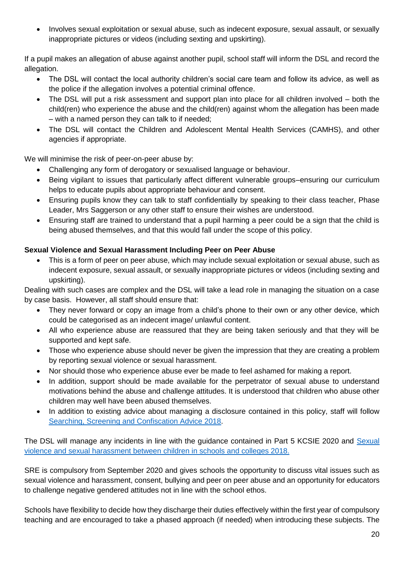• Involves sexual exploitation or sexual abuse, such as indecent exposure, sexual assault, or sexually inappropriate pictures or videos (including sexting and upskirting).

If a pupil makes an allegation of abuse against another pupil, school staff will inform the DSL and record the allegation.

- The DSL will contact the local authority children's social care team and follow its advice, as well as the police if the allegation involves a potential criminal offence.
- The DSL will put a risk assessment and support plan into place for all children involved both the child(ren) who experience the abuse and the child(ren) against whom the allegation has been made – with a named person they can talk to if needed;
- The DSL will contact the Children and Adolescent Mental Health Services (CAMHS), and other agencies if appropriate.

We will minimise the risk of peer-on-peer abuse by:

- Challenging any form of derogatory or sexualised language or behaviour.
- Being vigilant to issues that particularly affect different vulnerable groups–ensuring our curriculum helps to educate pupils about appropriate behaviour and consent.
- Ensuring pupils know they can talk to staff confidentially by speaking to their class teacher, Phase Leader, Mrs Saggerson or any other staff to ensure their wishes are understood.
- Ensuring staff are trained to understand that a pupil harming a peer could be a sign that the child is being abused themselves, and that this would fall under the scope of this policy.

## **Sexual Violence and Sexual Harassment Including Peer on Peer Abuse**

• This is a form of peer on peer abuse, which may include sexual exploitation or sexual abuse, such as indecent exposure, sexual assault, or sexually inappropriate pictures or videos (including sexting and upskirting).

Dealing with such cases are complex and the DSL will take a lead role in managing the situation on a case by case basis. However, all staff should ensure that:

- They never forward or copy an image from a child's phone to their own or any other device, which could be categorised as an indecent image/ unlawful content.
- All who experience abuse are reassured that they are being taken seriously and that they will be supported and kept safe.
- Those who experience abuse should never be given the impression that they are creating a problem by reporting sexual violence or sexual harassment.
- Nor should those who experience abuse ever be made to feel ashamed for making a report.
- In addition, support should be made available for the perpetrator of sexual abuse to understand motivations behind the abuse and challenge attitudes. It is understood that children who abuse other children may well have been abused themselves.
- In addition to existing advice about managing a disclosure contained in this policy, staff will follow [Searching, Screening and Confiscation Advice](https://assets.publishing.service.gov.uk/government/uploads/system/uploads/attachment_data/file/674416/Searching_screening_and_confiscation.pdf) 2018.

The DSL will manage any incidents in line with the guidance contained in Part 5 KCSIE 2020 and [Sexual](https://www.gov.uk/government/publications/sexual-violence-and-sexual-harassment-between-children-in-schools-and-colleges)  [violence and sexual harassment between children in schools and colleges 2018.](https://www.gov.uk/government/publications/sexual-violence-and-sexual-harassment-between-children-in-schools-and-colleges)

SRE is compulsory from September 2020 and gives schools the opportunity to discuss vital issues such as sexual violence and harassment, consent, bullying and peer on peer abuse and an opportunity for educators to challenge negative gendered attitudes not in line with the school ethos.

Schools have flexibility to decide how they discharge their duties effectively within the first year of compulsory teaching and are encouraged to take a phased approach (if needed) when introducing these subjects. The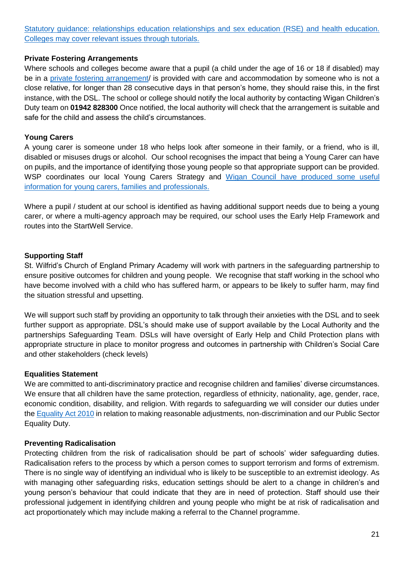[Statutory guidance: relationships education relationships and sex education \(RSE\) and health education.](https://www.gov.uk/government/publications/relationships-education-relationships-and-sex-education-rse-and-health-education)  [Colleges may cover relevant issues through tutorials.](https://www.gov.uk/government/publications/relationships-education-relationships-and-sex-education-rse-and-health-education)

#### **Private Fostering Arrangements**

Where schools and colleges become aware that a pupil (a child under the age of 16 or 18 if disabled) may be in a [private fostering arrangement/](https://www.wigan.gov.uk/Resident/Health-Social-Care/Children-and-young-people/Private-Fostering.aspx) is provided with care and accommodation by someone who is not a close relative, for longer than 28 consecutive days in that person's home, they should raise this, in the first instance, with the DSL. The school or college should notify the local authority by contacting Wigan Children's Duty team on **01942 828300** Once notified, the local authority will check that the arrangement is suitable and safe for the child and assess the child's circumstances.

## **Young Carers**

A young carer is someone under 18 who helps look after someone in their family, or a friend, who is ill, disabled or misuses drugs or alcohol. Our school recognises the impact that being a Young Carer can have on pupils, and the importance of identifying those young people so that appropriate support can be provided. WSP coordinates our local Young Carers Strategy and Wigan Council [have produced some useful](https://www.wigan.gov.uk/Resident/Health-Social-Care/Children-and-young-people/Young-carers/Useful-links-for-young-carers.aspx)  [information for young carers, families and professionals.](https://www.wigan.gov.uk/Resident/Health-Social-Care/Children-and-young-people/Young-carers/Useful-links-for-young-carers.aspx)

Where a pupil / student at our school is identified as having additional support needs due to being a young carer, or where a multi-agency approach may be required, our school uses the Early Help Framework and routes into the StartWell Service.

## **Supporting Staff**

St. Wilfrid's Church of England Primary Academy will work with partners in the safeguarding partnership to ensure positive outcomes for children and young people. We recognise that staff working in the school who have become involved with a child who has suffered harm, or appears to be likely to suffer harm, may find the situation stressful and upsetting.

We will support such staff by providing an opportunity to talk through their anxieties with the DSL and to seek further support as appropriate. DSL's should make use of support available by the Local Authority and the partnerships Safeguarding Team. DSLs will have oversight of Early Help and Child Protection plans with appropriate structure in place to monitor progress and outcomes in partnership with Children's Social Care and other stakeholders (check levels)

## **Equalities Statement**

We are committed to anti-discriminatory practice and recognise children and families' diverse circumstances. We ensure that all children have the same protection, regardless of ethnicity, nationality, age, gender, race, economic condition, disability, and religion. With regards to safeguarding we will consider our duties under the [Equality Act 2010](https://www.gov.uk/guidance/equality-act-2010-guidance) in relation to making reasonable adjustments, non-discrimination and our Public Sector Equality Duty.

## **Preventing Radicalisation**

Protecting children from the risk of radicalisation should be part of schools' wider safeguarding duties. Radicalisation refers to the process by which a person comes to support terrorism and forms of extremism. There is no single way of identifying an individual who is likely to be susceptible to an extremist ideology. As with managing other safeguarding risks, education settings should be alert to a change in children's and young person's behaviour that could indicate that they are in need of protection. Staff should use their professional judgement in identifying children and young people who might be at risk of radicalisation and act proportionately which may include making a referral to the Channel programme.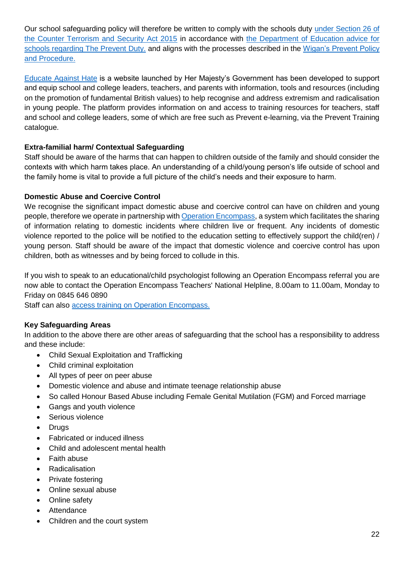Our school safeguarding policy will therefore be written to comply with the schools duty [under Section 26 of](https://www.legislation.gov.uk/ukpga/2015/6/section/26/enacted)  [the Counter Terrorism and Security Act 2015](https://www.legislation.gov.uk/ukpga/2015/6/section/26/enacted) in accordance with [the Department of Education advice for](https://assets.publishing.service.gov.uk/government/uploads/system/uploads/attachment_data/file/439598/prevent-duty-departmental-advice-v6.pdf)  [schools regarding The Prevent Duty.](https://assets.publishing.service.gov.uk/government/uploads/system/uploads/attachment_data/file/439598/prevent-duty-departmental-advice-v6.pdf) and aligns with the processes described in the [Wigan's Prevent Policy](https://www.wiganlscb.com/Search-results.aspx?search_keywords=prevent)  [and Procedure.](https://www.wiganlscb.com/Search-results.aspx?search_keywords=prevent)

[Educate Against Hate](https://educateagainsthate.com/) is a website launched by Her Majesty's Government has been developed to support and equip school and college leaders, teachers, and parents with information, tools and resources (including on the promotion of fundamental British values) to help recognise and address extremism and radicalisation in young people. The platform provides information on and access to training resources for teachers, staff and school and college leaders, some of which are free such as Prevent e-learning, via the Prevent Training catalogue.

# **Extra-familial harm/ Contextual Safeguarding**

Staff should be aware of the harms that can happen to children outside of the family and should consider the contexts with which harm takes place. An understanding of a child/young person's life outside of school and the family home is vital to provide a full picture of the child's needs and their exposure to harm.

## **Domestic Abuse and Coercive Control**

We recognise the significant impact domestic abuse and coercive control can have on children and young people, therefore we operate in partnership wit[h Operation Encompass,](https://www.operationencompass.org/) a system which facilitates the sharing of information relating to domestic incidents where children live or frequent. Any incidents of domestic violence reported to the police will be notified to the education setting to effectively support the child(ren) / young person. Staff should be aware of the impact that domestic violence and coercive control has upon children, both as witnesses and by being forced to collude in this.

If you wish to speak to an educational/child psychologist following an Operation Encompass referral you are now able to contact the Operation Encompass Teachers' National Helpline, 8.00am to 11.00am, Monday to Friday on 0845 646 0890

Staff can also [access training on Operation Encompass.](https://www.operationencompass.org/operation-encompass-on-line-key-adult-briefing)

## **Key Safeguarding Areas**

In addition to the above there are other areas of safeguarding that the school has a responsibility to address and these include:

- Child Sexual Exploitation and Trafficking
- Child criminal exploitation
- All types of peer on peer abuse
- Domestic violence and abuse and intimate teenage relationship abuse
- So called Honour Based Abuse including Female Genital Mutilation (FGM) and Forced marriage
- Gangs and youth violence
- Serious violence
- Drugs
- Fabricated or induced illness
- Child and adolescent mental health
- Faith abuse
- Radicalisation
- Private fostering
- Online sexual abuse
- Online safety
- Attendance
- Children and the court system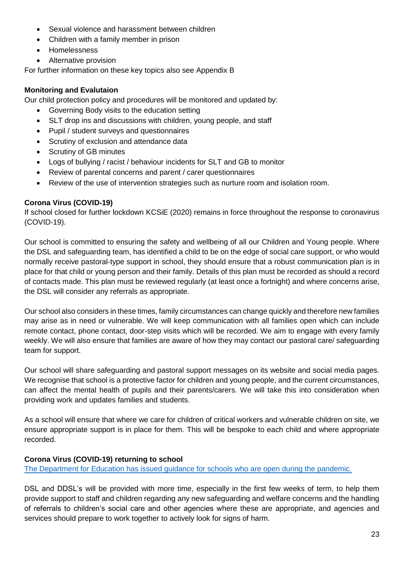- Sexual violence and harassment between children
- Children with a family member in prison
- Homelessness
- Alternative provision

For further information on these key topics also see Appendix B

## **Monitoring and Evalutaion**

Our child protection policy and procedures will be monitored and updated by:

- Governing Body visits to the education setting
- SLT drop ins and discussions with children, young people, and staff
- Pupil / student surveys and questionnaires
- Scrutiny of exclusion and attendance data
- **Scrutiny of GB minutes**
- Logs of bullying / racist / behaviour incidents for SLT and GB to monitor
- Review of parental concerns and parent / carer questionnaires
- Review of the use of intervention strategies such as nurture room and isolation room.

## **Corona Virus (COVID-19)**

If school closed for further lockdown KCSiE (2020) remains in force throughout the response to coronavirus (COVID-19).

Our school is committed to ensuring the safety and wellbeing of all our Children and Young people. Where the DSL and safeguarding team, has identified a child to be on the edge of social care support, or who would normally receive pastoral-type support in school, they should ensure that a robust communication plan is in place for that child or young person and their family. Details of this plan must be recorded as should a record of contacts made. This plan must be reviewed regularly (at least once a fortnight) and where concerns arise, the DSL will consider any referrals as appropriate.

Our school also considers in these times, family circumstances can change quickly and therefore new families may arise as in need or vulnerable. We will keep communication with all families open which can include remote contact, phone contact, door-step visits which will be recorded. We aim to engage with every family weekly. We will also ensure that families are aware of how they may contact our pastoral care/ safeguarding team for support.

Our school will share safeguarding and pastoral support messages on its website and social media pages. We recognise that school is a protective factor for children and young people, and the current circumstances, can affect the mental health of pupils and their parents/carers. We will take this into consideration when providing work and updates families and students.

As a school will ensure that where we care for children of critical workers and vulnerable children on site, we ensure appropriate support is in place for them. This will be bespoke to each child and where appropriate recorded.

## **Corona Virus (COVID-19) returning to school**

[The Department for Education has issued guidance for schools who are open during the pandemic.](https://www.gov.uk/government/publications/actions-for-schools-during-the-coronavirus-outbreak/guidance-for-full-opening-schools#section-3-curriculum-behaviour-and-pastoral-support)

DSL and DDSL's will be provided with more time, especially in the first few weeks of term, to help them provide support to staff and children regarding any new safeguarding and welfare concerns and the handling of referrals to children's social care and other agencies where these are appropriate, and agencies and services should prepare to work together to actively look for signs of harm.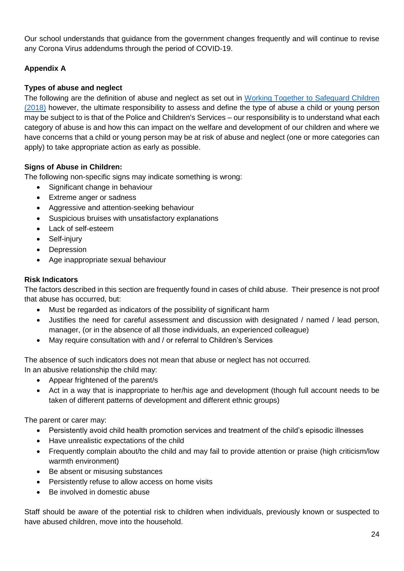Our school understands that guidance from the government changes frequently and will continue to revise any Corona Virus addendums through the period of COVID-19.

# **Appendix A**

# **Types of abuse and neglect**

The following are the definition of abuse and neglect as set out in Working Together [to Safeguard Children](https://www.gov.uk/government/publications/working-together-to-safeguard-children--2)  [\(2018\)](https://www.gov.uk/government/publications/working-together-to-safeguard-children--2) however, the ultimate responsibility to assess and define the type of abuse a child or young person may be subject to is that of the Police and Children's Services – our responsibility is to understand what each category of abuse is and how this can impact on the welfare and development of our children and where we have concerns that a child or young person may be at risk of abuse and neglect (one or more categories can apply) to take appropriate action as early as possible.

## **Signs of Abuse in Children:**

The following non-specific signs may indicate something is wrong:

- Significant change in behaviour
- Extreme anger or sadness
- Aggressive and attention-seeking behaviour
- Suspicious bruises with unsatisfactory explanations
- Lack of self-esteem
- Self-injury
- Depression
- Age inappropriate sexual behaviour

## **Risk Indicators**

The factors described in this section are frequently found in cases of child abuse. Their presence is not proof that abuse has occurred, but:

- Must be regarded as indicators of the possibility of significant harm
- Justifies the need for careful assessment and discussion with designated / named / lead person, manager, (or in the absence of all those individuals, an experienced colleague)
- May require consultation with and / or referral to Children's Services

The absence of such indicators does not mean that abuse or neglect has not occurred. In an abusive relationship the child may:

- Appear frightened of the parent/s
- Act in a way that is inappropriate to her/his age and development (though full account needs to be taken of different patterns of development and different ethnic groups)

The parent or carer may:

- Persistently avoid child health promotion services and treatment of the child's episodic illnesses
- Have unrealistic expectations of the child
- Frequently complain about/to the child and may fail to provide attention or praise (high criticism/low warmth environment)
- Be absent or misusing substances
- Persistently refuse to allow access on home visits
- Be involved in domestic abuse

Staff should be aware of the potential risk to children when individuals, previously known or suspected to have abused children, move into the household.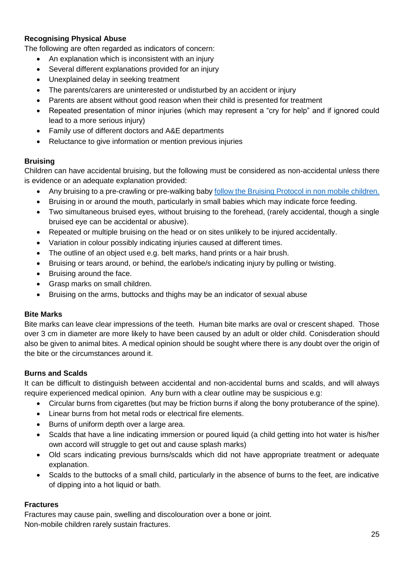## **Recognising Physical Abuse**

The following are often regarded as indicators of concern:

- An explanation which is inconsistent with an injury
- Several different explanations provided for an injury
- Unexplained delay in seeking treatment
- The parents/carers are uninterested or undisturbed by an accident or injury
- Parents are absent without good reason when their child is presented for treatment
- Repeated presentation of minor injuries (which may represent a "cry for help" and if ignored could lead to a more serious injury)
- Family use of different doctors and A&E departments
- Reluctance to give information or mention previous injuries

## **Bruising**

Children can have accidental bruising, but the following must be considered as non-accidental unless there is evidence or an adequate explanation provided:

- Any bruising to a pre-crawling or pre-walking baby [follow the Bruising Protocol in non mobile children.](https://www.wiganlscb.com/Parent/What-is-abuse/Injuries-non-mobile-children.aspx)
- Bruising in or around the mouth, particularly in small babies which may indicate force feeding.
- Two simultaneous bruised eyes, without bruising to the forehead, (rarely accidental, though a single bruised eye can be accidental or abusive).
- Repeated or multiple bruising on the head or on sites unlikely to be injured accidentally.
- Variation in colour possibly indicating injuries caused at different times.
- The outline of an object used e.g. belt marks, hand prints or a hair brush.
- Bruising or tears around, or behind, the earlobe/s indicating injury by pulling or twisting.
- Bruising around the face.
- Grasp marks on small children.
- Bruising on the arms, buttocks and thighs may be an indicator of sexual abuse

## **Bite Marks**

Bite marks can leave clear impressions of the teeth. Human bite marks are oval or crescent shaped. Those over 3 cm in diameter are more likely to have been caused by an adult or older child. Conisderation should also be given to animal bites. A medical opinion should be sought where there is any doubt over the origin of the bite or the circumstances around it.

## **Burns and Scalds**

It can be difficult to distinguish between accidental and non-accidental burns and scalds, and will always require experienced medical opinion. Any burn with a clear outline may be suspicious e.g:

- Circular burns from cigarettes (but may be friction burns if along the bony protuberance of the spine).
- Linear burns from hot metal rods or electrical fire elements.
- Burns of uniform depth over a large area.
- Scalds that have a line indicating immersion or poured liquid (a child getting into hot water is his/her own accord will struggle to get out and cause splash marks)
- Old scars indicating previous burns/scalds which did not have appropriate treatment or adequate explanation.
- Scalds to the buttocks of a small child, particularly in the absence of burns to the feet, are indicative of dipping into a hot liquid or bath.

## **Fractures**

Fractures may cause pain, swelling and discolouration over a bone or joint. Non-mobile children rarely sustain fractures.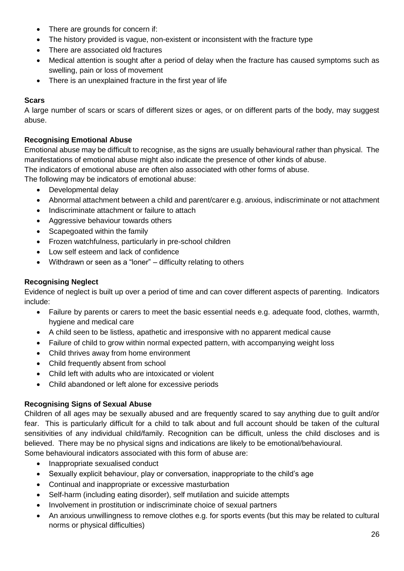- There are grounds for concern if:
- The history provided is vague, non-existent or inconsistent with the fracture type
- There are associated old fractures
- Medical attention is sought after a period of delay when the fracture has caused symptoms such as swelling, pain or loss of movement
- There is an unexplained fracture in the first year of life

## **Scars**

A large number of scars or scars of different sizes or ages, or on different parts of the body, may suggest abuse.

## **Recognising Emotional Abuse**

Emotional abuse may be difficult to recognise, as the signs are usually behavioural rather than physical. The manifestations of emotional abuse might also indicate the presence of other kinds of abuse.

The indicators of emotional abuse are often also associated with other forms of abuse.

The following may be indicators of emotional abuse:

- Developmental delay
- Abnormal attachment between a child and parent/carer e.g. anxious, indiscriminate or not attachment
- Indiscriminate attachment or failure to attach
- Aggressive behaviour towards others
- Scapegoated within the family
- Frozen watchfulness, particularly in pre-school children
- Low self esteem and lack of confidence
- Withdrawn or seen as a "loner" difficulty relating to others

## **Recognising Neglect**

Evidence of neglect is built up over a period of time and can cover different aspects of parenting. Indicators include:

- Failure by parents or carers to meet the basic essential needs e.g. adequate food, clothes, warmth, hygiene and medical care
- A child seen to be listless, apathetic and irresponsive with no apparent medical cause
- Failure of child to grow within normal expected pattern, with accompanying weight loss
- Child thrives away from home environment
- Child frequently absent from school
- Child left with adults who are intoxicated or violent
- Child abandoned or left alone for excessive periods

# **Recognising Signs of Sexual Abuse**

Children of all ages may be sexually abused and are frequently scared to say anything due to guilt and/or fear. This is particularly difficult for a child to talk about and full account should be taken of the cultural sensitivities of any individual child/family. Recognition can be difficult, unless the child discloses and is believed. There may be no physical signs and indications are likely to be emotional/behavioural.

Some behavioural indicators associated with this form of abuse are:

- Inappropriate sexualised conduct
- Sexually explicit behaviour, play or conversation, inappropriate to the child's age
- Continual and inappropriate or excessive masturbation
- Self-harm (including eating disorder), self mutilation and suicide attempts
- Involvement in prostitution or indiscriminate choice of sexual partners
- An anxious unwillingness to remove clothes e.g. for sports events (but this may be related to cultural norms or physical difficulties)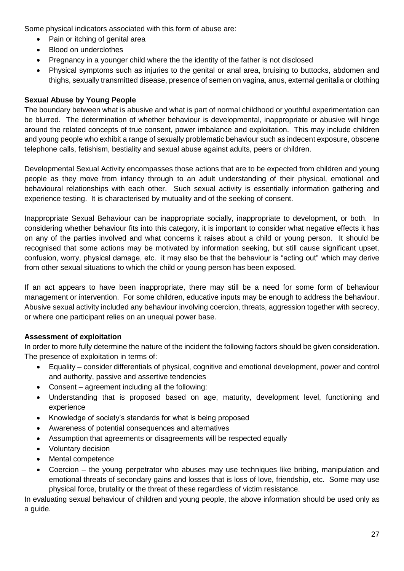Some physical indicators associated with this form of abuse are:

- Pain or itching of genital area
- Blood on underclothes
- Pregnancy in a younger child where the the identity of the father is not disclosed
- Physical symptoms such as injuries to the genital or anal area, bruising to buttocks, abdomen and thighs, sexually transmitted disease, presence of semen on vagina, anus, external genitalia or clothing

## **Sexual Abuse by Young People**

The boundary between what is abusive and what is part of normal childhood or youthful experimentation can be blurred. The determination of whether behaviour is developmental, inappropriate or abusive will hinge around the related concepts of true consent, power imbalance and exploitation. This may include children and young people who exhibit a range of sexually problematic behaviour such as indecent exposure, obscene telephone calls, fetishism, bestiality and sexual abuse against adults, peers or children.

Developmental Sexual Activity encompasses those actions that are to be expected from children and young people as they move from infancy through to an adult understanding of their physical, emotional and behavioural relationships with each other. Such sexual activity is essentially information gathering and experience testing. It is characterised by mutuality and of the seeking of consent.

Inappropriate Sexual Behaviour can be inappropriate socially, inappropriate to development, or both. In considering whether behaviour fits into this category, it is important to consider what negative effects it has on any of the parties involved and what concerns it raises about a child or young person. It should be recognised that some actions may be motivated by information seeking, but still cause significant upset, confusion, worry, physical damage, etc. it may also be that the behaviour is "acting out" which may derive from other sexual situations to which the child or young person has been exposed.

If an act appears to have been inappropriate, there may still be a need for some form of behaviour management or intervention. For some children, educative inputs may be enough to address the behaviour. Abusive sexual activity included any behaviour involving coercion, threats, aggression together with secrecy, or where one participant relies on an unequal power base.

## **Assessment of exploitation**

In order to more fully determine the nature of the incident the following factors should be given consideration. The presence of exploitation in terms of:

- Equality consider differentials of physical, cognitive and emotional development, power and control and authority, passive and assertive tendencies
- Consent agreement including all the following:
- Understanding that is proposed based on age, maturity, development level, functioning and experience
- Knowledge of society's standards for what is being proposed
- Awareness of potential consequences and alternatives
- Assumption that agreements or disagreements will be respected equally
- Voluntary decision
- Mental competence
- Coercion the young perpetrator who abuses may use techniques like bribing, manipulation and emotional threats of secondary gains and losses that is loss of love, friendship, etc. Some may use physical force, brutality or the threat of these regardless of victim resistance.

In evaluating sexual behaviour of children and young people, the above information should be used only as a guide.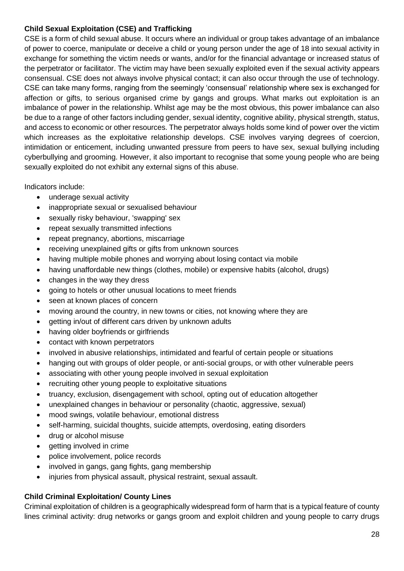## **Child Sexual Exploitation (CSE) and Trafficking**

CSE is a form of child sexual abuse. It occurs where an individual or group takes advantage of an imbalance of power to coerce, manipulate or deceive a child or young person under the age of 18 into sexual activity in exchange for something the victim needs or wants, and/or for the financial advantage or increased status of the perpetrator or facilitator. The victim may have been sexually exploited even if the sexual activity appears consensual. CSE does not always involve physical contact; it can also occur through the use of technology. CSE can take many forms, ranging from the seemingly 'consensual' relationship where sex is exchanged for affection or gifts, to serious organised crime by gangs and groups. What marks out exploitation is an imbalance of power in the relationship. Whilst age may be the most obvious, this power imbalance can also be due to a range of other factors including gender, sexual identity, cognitive ability, physical strength, status, and access to economic or other resources. The perpetrator always holds some kind of power over the victim which increases as the exploitative relationship develops. CSE involves varying degrees of coercion, intimidation or enticement, including unwanted pressure from peers to have sex, sexual bullying including cyberbullying and grooming. However, it also important to recognise that some young people who are being sexually exploited do not exhibit any external signs of this abuse.

Indicators include:

- underage sexual activity
- inappropriate sexual or sexualised behaviour
- sexually risky behaviour, 'swapping' sex
- repeat sexually transmitted infections
- repeat pregnancy, abortions, miscarriage
- receiving unexplained gifts or gifts from unknown sources
- having multiple mobile phones and worrying about losing contact via mobile
- having unaffordable new things (clothes, mobile) or expensive habits (alcohol, drugs)
- changes in the way they dress
- going to hotels or other unusual locations to meet friends
- seen at known places of concern
- moving around the country, in new towns or cities, not knowing where they are
- getting in/out of different cars driven by unknown adults
- having older boyfriends or girlfriends
- contact with known perpetrators
- involved in abusive relationships, intimidated and fearful of certain people or situations
- hanging out with groups of older people, or anti-social groups, or with other vulnerable peers
- associating with other young people involved in sexual exploitation
- recruiting other young people to exploitative situations
- truancy, exclusion, disengagement with school, opting out of education altogether
- unexplained changes in behaviour or personality (chaotic, aggressive, sexual)
- mood swings, volatile behaviour, emotional distress
- self-harming, suicidal thoughts, suicide attempts, overdosing, eating disorders
- drug or alcohol misuse
- getting involved in crime
- police involvement, police records
- involved in gangs, gang fights, gang membership
- injuries from physical assault, physical restraint, sexual assault.

# **Child Criminal Exploitation/ County Lines**

Criminal exploitation of children is a geographically widespread form of harm that is a typical feature of county lines criminal activity: drug networks or gangs groom and exploit children and young people to carry drugs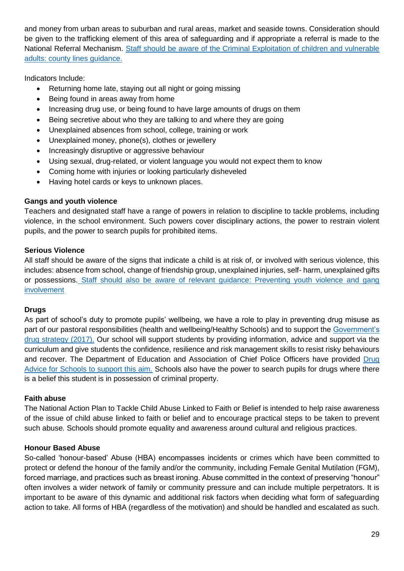and money from urban areas to suburban and rural areas, market and seaside towns. Consideration should be given to the trafficking element of this area of safeguarding and if appropriate a referral is made to the National Referral Mechanism. [Staff should be aware of the Criminal Exploitation of children and vulnerable](https://www.gov.uk/government/publications/criminal-exploitation-of-children-and-vulnerable-adults-county-lines)  [adults: county lines](https://www.gov.uk/government/publications/criminal-exploitation-of-children-and-vulnerable-adults-county-lines) guidance.

Indicators Include:

- Returning home late, staying out all night or going missing
- Being found in areas away from home
- Increasing drug use, or being found to have large amounts of drugs on them
- Being secretive about who they are talking to and where they are going
- Unexplained absences from school, college, training or work
- Unexplained money, phone(s), clothes or jewellery
- Increasingly disruptive or aggressive behaviour
- Using sexual, drug-related, or violent language you would not expect them to know
- Coming home with injuries or looking particularly disheveled
- Having hotel cards or keys to unknown places.

# **Gangs and youth violence**

Teachers and designated staff have a range of powers in relation to discipline to tackle problems, including violence, in the school environment. Such powers cover disciplinary actions, the power to restrain violent pupils, and the power to search pupils for prohibited items.

# **Serious Violence**

All staff should be aware of the signs that indicate a child is at risk of, or involved with serious violence, this includes: absence from school, change of friendship group, unexplained injuries, self- harm, unexplained gifts or possessions. [Staff should also be aware of relevant guidance: Preventing youth violence and gang](https://www.gov.uk/government/publications/advice-to-schools-and-colleges-on-gangs-and-youth-violence)  [involvement](https://www.gov.uk/government/publications/advice-to-schools-and-colleges-on-gangs-and-youth-violence)

# **Drugs**

As part of school's duty to promote pupils' wellbeing, we have a role to play in preventing drug misuse as part of our pastoral responsibilities (health and wellbeing/Healthy Schools) and to support the [Government's](https://www.gov.uk/government/publications/drug-strategy-2017)  [drug strategy \(2017\).](https://www.gov.uk/government/publications/drug-strategy-2017) Our school will support students by providing information, advice and support via the curriculum and give students the confidence, resilience and risk management skills to resist risky behaviours and recover. The Department of Education and Association of Chief Police Officers have provided Drug [Advice for Schools to support this aim.](https://assets.publishing.service.gov.uk/government/uploads/system/uploads/attachment_data/file/270169/drug_advice_for_schools.pdf) Schools also have the power to search pupils for drugs where there is a belief this student is in possession of criminal property.

# **Faith abuse**

The National Action Plan to Tackle Child Abuse Linked to Faith or Belief is intended to help raise awareness of the issue of child abuse linked to faith or belief and to encourage practical steps to be taken to prevent such abuse. Schools should promote equality and awareness around cultural and religious practices.

# **Honour Based Abuse**

So-called 'honour-based' Abuse (HBA) encompasses incidents or crimes which have been committed to protect or defend the honour of the family and/or the community, including Female Genital Mutilation (FGM), forced marriage, and practices such as breast ironing. Abuse committed in the context of preserving "honour" often involves a wider network of family or community pressure and can include multiple perpetrators. It is important to be aware of this dynamic and additional risk factors when deciding what form of safeguarding action to take. All forms of HBA (regardless of the motivation) and should be handled and escalated as such.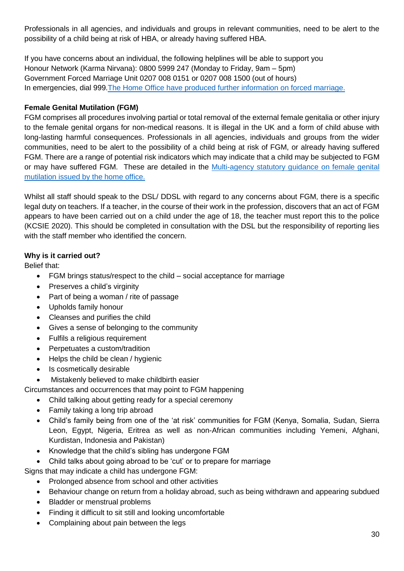Professionals in all agencies, and individuals and groups in relevant communities, need to be alert to the possibility of a child being at risk of HBA, or already having suffered HBA.

If you have concerns about an individual, the following helplines will be able to support you Honour Network (Karma Nirvana): 0800 5999 247 (Monday to Friday, 9am – 5pm) Government Forced Marriage Unit 0207 008 0151 or 0207 008 1500 (out of hours) In emergencies, dial 999.The [Home Office have produced further information on forced](https://www.gov.uk/stop-forced-marriage) marriage.

## **Female Genital Mutilation (FGM)**

FGM comprises all procedures involving partial or total removal of the external female genitalia or other injury to the female genital organs for non-medical reasons. It is illegal in the UK and a form of child abuse with long-lasting harmful consequences. Professionals in all agencies, individuals and groups from the wider communities, need to be alert to the possibility of a child being at risk of FGM, or already having suffered FGM. There are a range of potential risk indicators which may indicate that a child may be subjected to FGM or may have suffered FGM. These are detailed in the [Multi-agency statutory guidance on female genital](https://www.gov.uk/government/publications/multi-agency-statutory-guidance-on-female-genital-mutilation)  [mutilation issued by the home office.](https://www.gov.uk/government/publications/multi-agency-statutory-guidance-on-female-genital-mutilation)

Whilst all staff should speak to the DSL/ DDSL with regard to any concerns about FGM, there is a specific legal duty on teachers. If a teacher, in the course of their work in the profession, discovers that an act of FGM appears to have been carried out on a child under the age of 18, the teacher must report this to the police (KCSIE 2020). This should be completed in consultation with the DSL but the responsibility of reporting lies with the staff member who identified the concern.

## **Why is it carried out?**

Belief that:

- FGM brings status/respect to the child social acceptance for marriage
- Preserves a child's virginity
- Part of being a woman / rite of passage
- Upholds family honour
- Cleanses and purifies the child
- Gives a sense of belonging to the community
- Fulfils a religious requirement
- Perpetuates a custom/tradition
- Helps the child be clean / hygienic
- Is cosmetically desirable
- Mistakenly believed to make childbirth easier

Circumstances and occurrences that may point to FGM happening

- Child talking about getting ready for a special ceremony
- Family taking a long trip abroad
- Child's family being from one of the 'at risk' communities for FGM (Kenya, Somalia, Sudan, Sierra Leon, Egypt, Nigeria, Eritrea as well as non-African communities including Yemeni, Afghani, Kurdistan, Indonesia and Pakistan)
- Knowledge that the child's sibling has undergone FGM
- Child talks about going abroad to be 'cut' or to prepare for marriage

Signs that may indicate a child has undergone FGM:

- Prolonged absence from school and other activities
- Behaviour change on return from a holiday abroad, such as being withdrawn and appearing subdued
- Bladder or menstrual problems
- Finding it difficult to sit still and looking uncomfortable
- Complaining about pain between the legs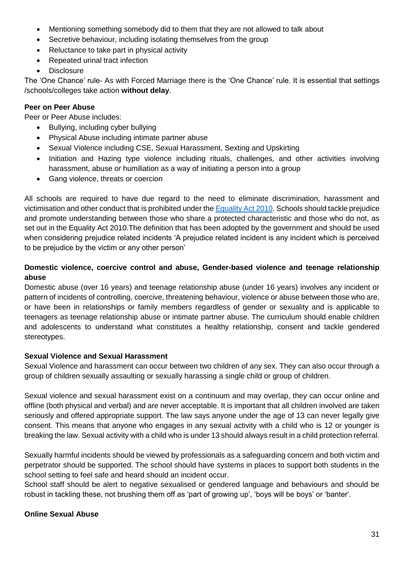- Mentioning something somebody did to them that they are not allowed to talk about
- Secretive behaviour, including isolating themselves from the group
- Reluctance to take part in physical activity
- Repeated urinal tract infection
- Disclosure

The 'One Chance' rule- As with Forced Marriage there is the 'One Chance' rule. It is essential that settings /schools/colleges take action **without delay**.

## **Peer on Peer Abuse**

Peer or Peer Abuse includes:

- Bullying, including cyber bullying
- Physical Abuse including intimate partner abuse
- Sexual Violence including CSE, Sexual Harassment, Sexting and Upskirting
- Initiation and Hazing type violence including rituals, challenges, and other activities involving harassment, abuse or humiliation as a way of initiating a person into a group
- Gang violence, threats or coercion

All schools are required to have due regard to the need to eliminate discrimination, harassment and victimisation and other conduct that is prohibited under th[e Equality Act](https://www.legislation.gov.uk/ukpga/2010/15/contents) 2010. Schools should tackle prejudice and promote understanding between those who share a protected characteristic and those who do not, as set out in the Equality Act 2010.The definition that has been adopted by the government and should be used when considering prejudice related incidents 'A prejudice related incident is any incident which is perceived to be prejudice by the victim or any other person'

## **Domestic violence, coercive control and abuse, Gender-based violence and teenage relationship abuse**

Domestic abuse (over 16 years) and teenage relationship abuse (under 16 years) involves any incident or pattern of incidents of controlling, coercive, threatening behaviour, violence or abuse between those who are, or have been in relationships or family members regardless of gender or sexuality and is applicable to teenagers as teenage relationship abuse or intimate partner abuse. The curriculum should enable children and adolescents to understand what constitutes a healthy relationship, consent and tackle gendered stereotypes.

## **Sexual Violence and Sexual Harassment**

Sexual Violence and harassment can occur between two children of any sex. They can also occur through a group of children sexually assaulting or sexually harassing a single child or group of children.

Sexual violence and sexual harassment exist on a continuum and may overlap, they can occur online and offline (both physical and verbal) and are never acceptable. It is important that all children involved are taken seriously and offered appropriate support. The law says anyone under the age of 13 can never legally give consent. This means that anyone who engages in any sexual activity with a child who is 12 or younger is breaking the law. Sexual activity with a child who is under 13 should always result in a child protection referral.

Sexually harmful incidents should be viewed by professionals as a safeguarding concern and both victim and perpetrator should be supported. The school should have systems in places to support both students in the school setting to feel safe and heard should an incident occur.

School staff should be alert to negative sexualised or gendered language and behaviours and should be robust in tackling these, not brushing them off as 'part of growing up', 'boys will be boys' or 'banter'.

#### **Online Sexual Abuse**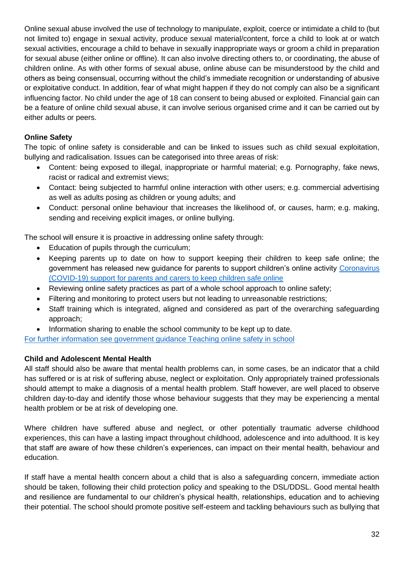Online sexual abuse involved the use of technology to manipulate, exploit, coerce or intimidate a child to (but not limited to) engage in sexual activity, produce sexual material/content, force a child to look at or watch sexual activities, encourage a child to behave in sexually inappropriate ways or groom a child in preparation for sexual abuse (either online or offline). It can also involve directing others to, or coordinating, the abuse of children online. As with other forms of sexual abuse, online abuse can be misunderstood by the child and others as being consensual, occurring without the child's immediate recognition or understanding of abusive or exploitative conduct. In addition, fear of what might happen if they do not comply can also be a significant influencing factor. No child under the age of 18 can consent to being abused or exploited. Financial gain can be a feature of online child sexual abuse, it can involve serious organised crime and it can be carried out by either adults or peers.

## **Online Safety**

The topic of online safety is considerable and can be linked to issues such as child sexual exploitation, bullying and radicalisation. Issues can be categorised into three areas of risk:

- Content: being exposed to illegal, inappropriate or harmful material; e.g. Pornography, fake news, racist or radical and extremist views;
- Contact: being subjected to harmful online interaction with other users; e.g. commercial advertising as well as adults posing as children or young adults; and
- Conduct: personal online behaviour that increases the likelihood of, or causes, harm; e.g. making, sending and receiving explicit images, or online bullying.

The school will ensure it is proactive in addressing online safety through:

- Education of pupils through the curriculum;
- Keeping parents up to date on how to support keeping their children to keep safe online; the government has released new guidance for parents to support children's online activity [Coronavirus](https://www.gov.uk/government/publications/coronavirus-covid-19-keeping-children-safe-online/coronavirus-covid-19-support-for-parents-and-carers-to-keep-children-safe-online)  [\(COVID-19\) support for parents and carers to keep children safe online](https://www.gov.uk/government/publications/coronavirus-covid-19-keeping-children-safe-online/coronavirus-covid-19-support-for-parents-and-carers-to-keep-children-safe-online)
- Reviewing online safety practices as part of a whole school approach to online safety;
- Filtering and monitoring to protect users but not leading to unreasonable restrictions;
- Staff training which is integrated, aligned and considered as part of the overarching safeguarding approach;
- Information sharing to enable the school community to be kept up to date.

[For further information see government guidance Teaching online safety in school](https://www.gov.uk/government/publications/teaching-online-safety-in-schools)

## **Child and Adolescent Mental Health**

All staff should also be aware that mental health problems can, in some cases, be an indicator that a child has suffered or is at risk of suffering abuse, neglect or exploitation. Only appropriately trained professionals should attempt to make a diagnosis of a mental health problem. Staff however, are well placed to observe children day-to-day and identify those whose behaviour suggests that they may be experiencing a mental health problem or be at risk of developing one.

Where children have suffered abuse and neglect, or other potentially traumatic adverse childhood experiences, this can have a lasting impact throughout childhood, adolescence and into adulthood. It is key that staff are aware of how these children's experiences, can impact on their mental health, behaviour and education.

If staff have a mental health concern about a child that is also a safeguarding concern, immediate action should be taken, following their child protection policy and speaking to the DSL/DDSL. Good mental health and resilience are fundamental to our children's physical health, relationships, education and to achieving their potential. The school should promote positive self-esteem and tackling behaviours such as bullying that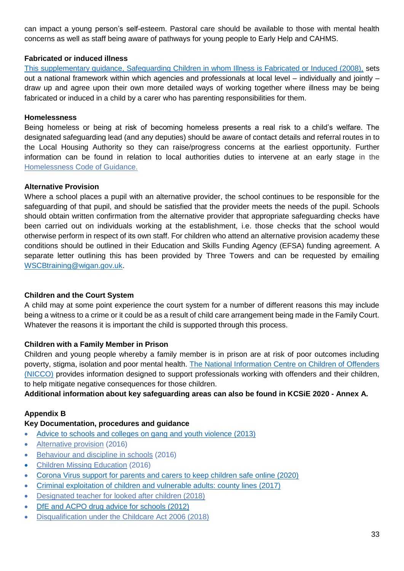can impact a young person's self-esteem. Pastoral care should be available to those with mental health concerns as well as staff being aware of pathways for young people to Early Help and CAHMS.

## **Fabricated or induced illness**

[This supplementary guidance, Safeguarding Children in whom Illness is Fabricated or Induced \(2008\),](https://www.gov.uk/government/publications/safeguarding-children-in-whom-illness-is-fabricated-or-induced) sets out a national framework within which agencies and professionals at local level – individually and jointly – draw up and agree upon their own more detailed ways of working together where illness may be being fabricated or induced in a child by a carer who has parenting responsibilities for them.

#### **Homelessness**

Being homeless or being at risk of becoming homeless presents a real risk to a child's welfare. The designated safeguarding lead (and any deputies) should be aware of contact details and referral routes in to the Local Housing Authority so they can raise/progress concerns at the earliest opportunity. Further information can be found in relation to local authorities duties to intervene at an early stage in the [Homelessness](https://www.gov.uk/guidance/homelessness-code-of-guidance-for-local-authorities) Code of Guidance.

#### **Alternative Provision**

Where a school places a pupil with an alternative provider, the school continues to be responsible for the safeguarding of that pupil, and should be satisfied that the provider meets the needs of the pupil. Schools should obtain written confirmation from the alternative provider that appropriate safeguarding checks have been carried out on individuals working at the establishment, i.e. those checks that the school would otherwise perform in respect of its own staff. For children who attend an alternative provision academy these conditions should be outlined in their Education and Skills Funding Agency (EFSA) funding agreement. A separate letter outlining this has been provided by Three Towers and can be requested by emailing [WSCBtraining@wigan.gov.uk.](mailto:WSCBtraining@wigan.gov.uk)

#### **Children and the Court System**

A child may at some point experience the court system for a number of different reasons this may include being a witness to a crime or it could be as a result of child care arrangement being made in the Family Court. Whatever the reasons it is important the child is supported through this process.

#### **Children with a Family Member in Prison**

Children and young people whereby a family member is in prison are at risk of poor outcomes including poverty, stigma, isolation and poor mental health. [The National Information Centre on Children of Offenders](https://www.nicco.org.uk/)  [\(NICCO\)](https://www.nicco.org.uk/) provides information designed to support professionals working with offenders and their children, to help mitigate negative consequences for those children.

## **Additional information about key safeguarding areas can also be found in KCSiE 2020 - Annex A.**

#### **Appendix B**

## **Key Documentation, procedures and guidance**

- [Advice to schools and colleges on gang and youth violence \(2013\)](https://www.gov.uk/government/publications/advice-to-schools-and-colleges-on-gangs-and-youth-violence)
- [Alternative provision](https://www.gov.uk/government/publications/alternative-provision) (2016)
- [Behaviour and discipline in schools](https://www.gov.uk/government/publications/behaviour-and-discipline-in-schools-guidance-for-governing-bodies) (2016)
- [Children Missing Education](https://www.gov.uk/government/publications/children-missing-education) (2016[\)](https://www.gov.uk/government/publications/coronavirus-covid-19-keeping-children-safe-online/coronavirus-covid-19-support-for-parents-and-carers-to-keep-children-safe-online)
- [Corona Virus support for parents and carers to keep children safe online \(2020\)](https://www.gov.uk/government/publications/coronavirus-covid-19-keeping-children-safe-online/coronavirus-covid-19-support-for-parents-and-carers-to-keep-children-safe-online)
- [Criminal exploitation of children and vulnerable adults: county lines \(2017\)](https://www.gov.uk/government/publications/criminal-exploitation-of-children-and-vulnerable-adults-county-lines)
- [Designated teacher for looked after children \(2018\)](https://www.gov.uk/government/publications/designated-teacher-for-looked-after-children)
- [DfE and ACPO drug advice for schools \(2012\)](https://assets.publishing.service.gov.uk/government/uploads/system/uploads/attachment_data/file/270169/drug_advice_for_schools.pdf)
- [Disqualification under the Childcare Act 2006 \(2018\)](https://www.gov.uk/government/publications/disqualification-under-the-childcare-act-2006/disqualification-under-the-childcare-act-2006)